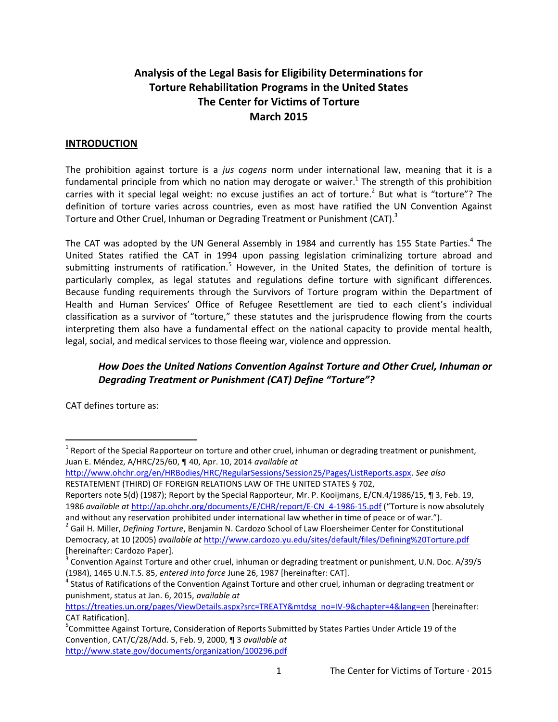# **Analysis of the Legal Basis for Eligibility Determinations for Torture Rehabilitation Programs in the United States The Center for Victims of Torture March 2015**

### **INTRODUCTION**

The prohibition against torture is a *jus cogens* norm under international law, meaning that it is a fundamental principle from which no nation may derogate or waiver.<sup>1</sup> The strength of this prohibition carries with it special legal weight: no excuse justifies an act of torture.<sup>2</sup> But what is "torture"? The definition of torture varies across countries, even as most have ratified the UN Convention Against Torture and Other Cruel, Inhuman or Degrading Treatment or Punishment (CAT).<sup>3</sup>

The CAT was adopted by the UN General Assembly in 1984 and currently has 155 State Parties.<sup>4</sup> The United States ratified the CAT in 1994 upon passing legislation criminalizing torture abroad and submitting instruments of ratification.<sup>5</sup> However, in the United States, the definition of torture is particularly complex, as legal statutes and regulations define torture with significant differences. Because funding requirements through the Survivors of Torture program within the Department of Health and Human Services' Office of Refugee Resettlement are tied to each client's individual classification as a survivor of "torture," these statutes and the jurisprudence flowing from the courts interpreting them also have a fundamental effect on the national capacity to provide mental health, legal, social, and medical services to those fleeing war, violence and oppression.

## *How Does the United Nations Convention Against Torture and Other Cruel, Inhuman or Degrading Treatment or Punishment (CAT) Define "Torture"?*

CAT defines torture as:

 $1$  Report of the Special Rapporteur on torture and other cruel, inhuman or degrading treatment or punishment, Juan E. Méndez, A/HRC/25/60, ¶ 40, Apr. 10, 2014 *available at*

[http://www.ohchr.org/en/HRBodies/HRC/RegularSessions/Session25/Pages/ListReports.aspx.](http://www.ohchr.org/en/HRBodies/HRC/RegularSessions/Session25/Pages/ListReports.aspx) *See also*  RESTATEMENT (THIRD) OF FOREIGN RELATIONS LAW OF THE UNITED STATES § 702,

Reporters note 5(d) (1987); Report by the Special Rapporteur, Mr. P. Kooijmans, E/CN.4/1986/15, ¶ 3, Feb. 19, 1986 *available at* [http://ap.ohchr.org/documents/E/CHR/report/E-CN\\_4-1986-15.pdf](http://ap.ohchr.org/documents/E/CHR/report/E-CN_4-1986-15.pdf) ("Torture is now absolutely and without any reservation prohibited under international law whether in time of peace or of war.").

<sup>2</sup> Gail H. Miller, *Defining Torture*, Benjamin N. Cardozo School of Law Floersheimer Center for Constitutional Democracy, at 10 (2005) *available at* <http://www.cardozo.yu.edu/sites/default/files/Defining%20Torture.pdf> [hereinafter: Cardozo Paper].

<sup>&</sup>lt;sup>3</sup> Convention Against Torture and other cruel, inhuman or degrading treatment or punishment, U.N. Doc. A/39/5 (1984), 1465 U.N.T.S. 85, *entered into force* June 26, 1987 [hereinafter: CAT].

<sup>&</sup>lt;sup>4</sup> Status of Ratifications of the Convention Against Torture and other cruel, inhuman or degrading treatment or punishment, status at Jan. 6, 2015, *available at*

[https://treaties.un.org/pages/ViewDetails.aspx?src=TREATY&mtdsg\\_no=IV-9&chapter=4&lang=en](https://treaties.un.org/pages/ViewDetails.aspx?src=TREATY&mtdsg_no=IV-9&chapter=4&lang=en) [hereinafter: CAT Ratification].

<sup>&</sup>lt;sup>5</sup>Committee Against Torture, Consideration of Reports Submitted by States Parties Under Article 19 of the Convention, CAT/C/28/Add. 5, Feb. 9, 2000, ¶ 3 *available at* <http://www.state.gov/documents/organization/100296.pdf>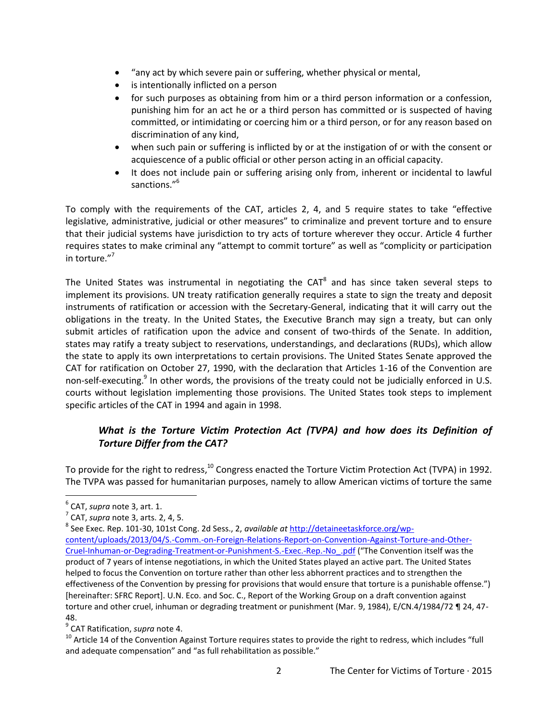- "any act by which severe pain or suffering, whether physical or mental,
- is intentionally inflicted on a person
- for such purposes as obtaining from him or a third person information or a confession, punishing him for an act he or a third person has committed or is suspected of having committed, or intimidating or coercing him or a third person, or for any reason based on discrimination of any kind,
- when such pain or suffering is inflicted by or at the instigation of or with the consent or acquiescence of a public official or other person acting in an official capacity.
- It does not include pain or suffering arising only from, inherent or incidental to lawful sanctions."<sup>6</sup>

To comply with the requirements of the CAT, articles 2, 4, and 5 require states to take "effective legislative, administrative, judicial or other measures" to criminalize and prevent torture and to ensure that their judicial systems have jurisdiction to try acts of torture wherever they occur. Article 4 further requires states to make criminal any "attempt to commit torture" as well as "complicity or participation in torture."<sup>7</sup>

The United States was instrumental in negotiating the CAT $^8$  and has since taken several steps to implement its provisions. UN treaty ratification generally requires a state to sign the treaty and deposit instruments of ratification or accession with the Secretary-General, indicating that it will carry out the obligations in the treaty. In the United States, the Executive Branch may sign a treaty, but can only submit articles of ratification upon the advice and consent of two-thirds of the Senate. In addition, states may ratify a treaty subject to reservations, understandings, and declarations (RUDs), which allow the state to apply its own interpretations to certain provisions. The United States Senate approved the CAT for ratification on October 27, 1990, with the declaration that Articles 1-16 of the Convention are non-self-executing.<sup>9</sup> In other words, the provisions of the treaty could not be judicially enforced in U.S. courts without legislation implementing those provisions. The United States took steps to implement specific articles of the CAT in 1994 and again in 1998.

# *What is the Torture Victim Protection Act (TVPA) and how does its Definition of Torture Differ from the CAT?*

To provide for the right to redress,<sup>10</sup> Congress enacted the Torture Victim Protection Act (TVPA) in 1992. The TVPA was passed for humanitarian purposes, namely to allow American victims of torture the same

 $\overline{\phantom{a}}$ 

<sup>8</sup> See Exec. Rep. 101-30, 101st Cong. 2d Sess., 2, *available at* [http://detaineetaskforce.org/wp-](http://detaineetaskforce.org/wp-content/uploads/2013/04/S.-Comm.-on-Foreign-Relations-Report-on-Convention-Against-Torture-and-Other-Cruel-Inhuman-or-Degrading-Treatment-or-Punishment-S.-Exec.-Rep.-No_.pdf)

9 CAT Ratification, *supra* note 4.

<sup>6</sup> CAT, *supra* note 3, art. 1.

<sup>7</sup> CAT, *supra* note 3, arts. 2, 4, 5.

[content/uploads/2013/04/S.-Comm.-on-Foreign-Relations-Report-on-Convention-Against-Torture-and-Other-](http://detaineetaskforce.org/wp-content/uploads/2013/04/S.-Comm.-on-Foreign-Relations-Report-on-Convention-Against-Torture-and-Other-Cruel-Inhuman-or-Degrading-Treatment-or-Punishment-S.-Exec.-Rep.-No_.pdf)[Cruel-Inhuman-or-Degrading-Treatment-or-Punishment-S.-Exec.-Rep.-No\\_.pdf](http://detaineetaskforce.org/wp-content/uploads/2013/04/S.-Comm.-on-Foreign-Relations-Report-on-Convention-Against-Torture-and-Other-Cruel-Inhuman-or-Degrading-Treatment-or-Punishment-S.-Exec.-Rep.-No_.pdf) ("The Convention itself was the product of 7 years of intense negotiations, in which the United States played an active part. The United States helped to focus the Convention on torture rather than other less abhorrent practices and to strengthen the effectiveness of the Convention by pressing for provisions that would ensure that torture is a punishable offense.") [hereinafter: SFRC Report]. U.N. Eco. and Soc. C., Report of the Working Group on a draft convention against torture and other cruel, inhuman or degrading treatment or punishment (Mar. 9, 1984), E/CN.4/1984/72 ¶ 24, 47-48.

 $10$  Article 14 of the Convention Against Torture requires states to provide the right to redress, which includes "full" and adequate compensation" and "as full rehabilitation as possible."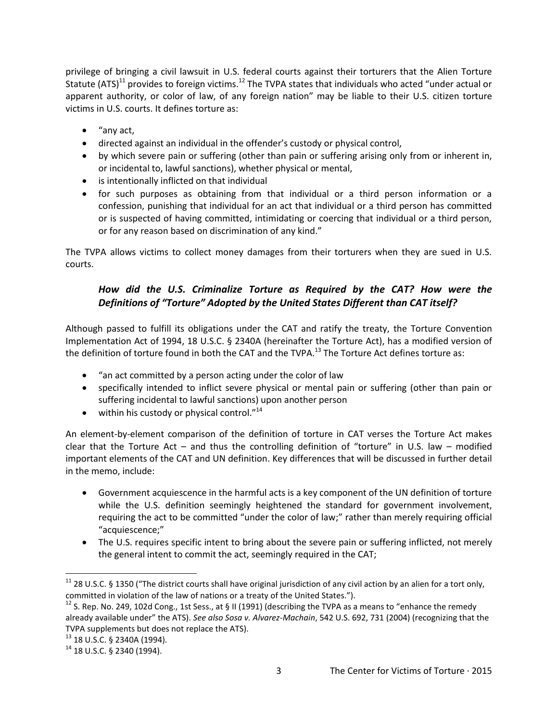privilege of bringing a civil lawsuit in U.S. federal courts against their torturers that the Alien Torture Statute (ATS)<sup>11</sup> provides to foreign victims.<sup>12</sup> The TVPA states that individuals who acted "under actual or apparent authority, or color of law, of any foreign nation" may be liable to their U.S. citizen torture victims in U.S. courts. It defines torture as:

- "any act,
- directed against an individual in the offender's custody or physical control,
- by which severe pain or suffering (other than pain or suffering arising only from or inherent in, or incidental to, lawful sanctions), whether physical or mental,
- is intentionally inflicted on that individual
- for such purposes as obtaining from that individual or a third person information or a confession, punishing that individual for an act that individual or a third person has committed or is suspected of having committed, intimidating or coercing that individual or a third person, or for any reason based on discrimination of any kind."

The TVPA allows victims to collect money damages from their torturers when they are sued in U.S. courts.

# *How did the U.S. Criminalize Torture as Required by the CAT? How were the Definitions of "Torture" Adopted by the United States Different than CAT itself?*

Although passed to fulfill its obligations under the CAT and ratify the treaty, the Torture Convention Implementation Act of 1994, 18 U.S.C. § 2340A (hereinafter the Torture Act), has a modified version of the definition of torture found in both the CAT and the TVPA.<sup>13</sup> The Torture Act defines torture as:

- "an act committed by a person acting under the color of law
- specifically intended to inflict severe physical or mental pain or suffering (other than pain or suffering incidental to lawful sanctions) upon another person
- $\bullet$  within his custody or physical control."<sup>14</sup>

An element-by-element comparison of the definition of torture in CAT verses the Torture Act makes clear that the Torture Act – and thus the controlling definition of "torture" in U.S. law – modified important elements of the CAT and UN definition. Key differences that will be discussed in further detail in the memo, include:

- Government acquiescence in the harmful acts is a key component of the UN definition of torture while the U.S. definition seemingly heightened the standard for government involvement, requiring the act to be committed "under the color of law;" rather than merely requiring official "acquiescence;"
- The U.S. requires specific intent to bring about the severe pain or suffering inflicted, not merely the general intent to commit the act, seemingly required in the CAT;

<sup>&</sup>lt;sup>11</sup> 28 U.S.C. § 1350 ("The district courts shall have original jurisdiction of any civil action by an alien for a tort only, committed in violation of the law of nations or a treaty of the United States.").

<sup>&</sup>lt;sup>12</sup> S. Rep. No. 249, 102d Cong., 1st Sess., at § II (1991) (describing the TVPA as a means to "enhance the remedy already available under" the ATS). *See also Sosa v. Alvarez-Machain*, 542 U.S. 692, 731 (2004) (recognizing that the TVPA supplements but does not replace the ATS).

 $13$  18 U.S.C. § 2340A (1994).

 $14$  18 U.S.C. § 2340 (1994).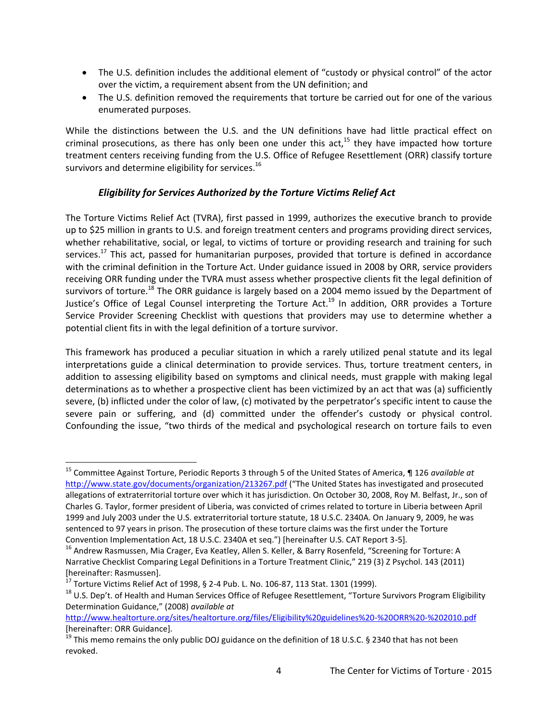- The U.S. definition includes the additional element of "custody or physical control" of the actor over the victim, a requirement absent from the UN definition; and
- The U.S. definition removed the requirements that torture be carried out for one of the various enumerated purposes.

While the distinctions between the U.S. and the UN definitions have had little practical effect on criminal prosecutions, as there has only been one under this act, $^{15}$  they have impacted how torture treatment centers receiving funding from the U.S. Office of Refugee Resettlement (ORR) classify torture survivors and determine eligibility for services. $^{16}$ 

## *Eligibility for Services Authorized by the Torture Victims Relief Act*

The Torture Victims Relief Act (TVRA), first passed in 1999, authorizes the executive branch to provide up to \$25 million in grants to U.S. and foreign treatment centers and programs providing direct services, whether rehabilitative, social, or legal, to victims of torture or providing research and training for such services.<sup>17</sup> This act, passed for humanitarian purposes, provided that torture is defined in accordance with the criminal definition in the Torture Act. Under guidance issued in 2008 by ORR, service providers receiving ORR funding under the TVRA must assess whether prospective clients fit the legal definition of survivors of torture.<sup>18</sup> The ORR guidance is largely based on a 2004 memo issued by the Department of Justice's Office of Legal Counsel interpreting the Torture Act.<sup>19</sup> In addition, ORR provides a Torture Service Provider Screening Checklist with questions that providers may use to determine whether a potential client fits in with the legal definition of a torture survivor.

This framework has produced a peculiar situation in which a rarely utilized penal statute and its legal interpretations guide a clinical determination to provide services. Thus, torture treatment centers, in addition to assessing eligibility based on symptoms and clinical needs, must grapple with making legal determinations as to whether a prospective client has been victimized by an act that was (a) sufficiently severe, (b) inflicted under the color of law, (c) motivated by the perpetrator's specific intent to cause the severe pain or suffering, and (d) committed under the offender's custody or physical control. Confounding the issue, "two thirds of the medical and psychological research on torture fails to even

<sup>15</sup> Committee Against Torture, Periodic Reports 3 through 5 of the United States of America, ¶ 126 *available at* <http://www.state.gov/documents/organization/213267.pdf> ("The United States has investigated and prosecuted allegations of extraterritorial torture over which it has jurisdiction. On October 30, 2008, Roy M. Belfast, Jr., son of Charles G. Taylor, former president of Liberia, was convicted of crimes related to torture in Liberia between April 1999 and July 2003 under the U.S. extraterritorial torture statute, 18 U.S.C. 2340A. On January 9, 2009, he was sentenced to 97 years in prison. The prosecution of these torture claims was the first under the Torture Convention Implementation Act, 18 U.S.C. 2340A et seq.") [hereinafter U.S. CAT Report 3-5].

<sup>&</sup>lt;sup>16</sup> Andrew Rasmussen, Mia Crager, Eva Keatley, Allen S. Keller, & Barry Rosenfeld, "Screening for Torture: A Narrative Checklist Comparing Legal Definitions in a Torture Treatment Clinic," 219 (3) Z Psychol. 143 (2011) [hereinafter: Rasmussen].

 $17$  Torture Victims Relief Act of 1998, § 2-4 Pub. L. No. 106-87, 113 Stat. 1301 (1999).

<sup>&</sup>lt;sup>18</sup> U.S. Dep't. of Health and Human Services Office of Refugee Resettlement, "Torture Survivors Program Eligibility Determination Guidance," (2008) *available at*

<http://www.healtorture.org/sites/healtorture.org/files/Eligibility%20guidelines%20-%20ORR%20-%202010.pdf> [hereinafter: ORR Guidance].

<sup>&</sup>lt;sup>19</sup> This memo remains the only public DOJ guidance on the definition of 18 U.S.C. § 2340 that has not been revoked.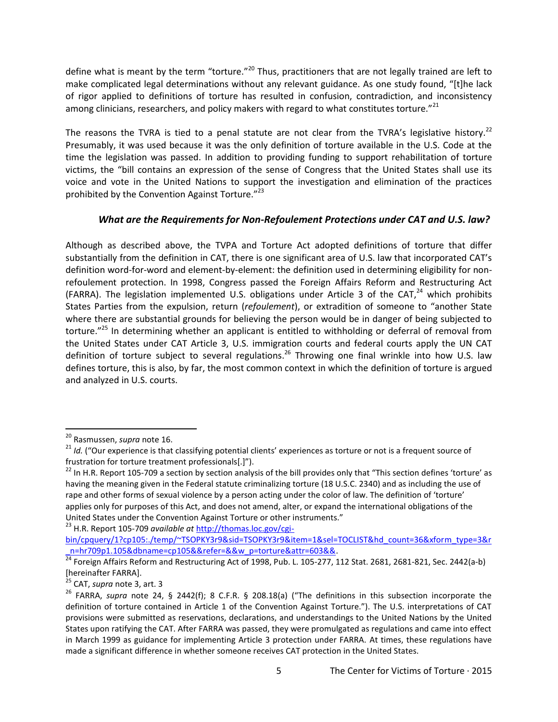define what is meant by the term "torture."<sup>20</sup> Thus, practitioners that are not legally trained are left to make complicated legal determinations without any relevant guidance. As one study found, "[t]he lack of rigor applied to definitions of torture has resulted in confusion, contradiction, and inconsistency among clinicians, researchers, and policy makers with regard to what constitutes torture."<sup>21</sup>

The reasons the TVRA is tied to a penal statute are not clear from the TVRA's legislative history.<sup>22</sup> Presumably, it was used because it was the only definition of torture available in the U.S. Code at the time the legislation was passed. In addition to providing funding to support rehabilitation of torture victims, the "bill contains an expression of the sense of Congress that the United States shall use its voice and vote in the United Nations to support the investigation and elimination of the practices prohibited by the Convention Against Torture."<sup>23</sup>

#### *What are the Requirements for Non-Refoulement Protections under CAT and U.S. law?*

Although as described above, the TVPA and Torture Act adopted definitions of torture that differ substantially from the definition in CAT, there is one significant area of U.S. law that incorporated CAT's definition word-for-word and element-by-element: the definition used in determining eligibility for nonrefoulement protection. In 1998, Congress passed the Foreign Affairs Reform and Restructuring Act (FARRA). The legislation implemented U.S. obligations under Article 3 of the CAT,<sup>24</sup> which prohibits States Parties from the expulsion, return (*refoulement*), or extradition of someone to "another State where there are substantial grounds for believing the person would be in danger of being subjected to torture."<sup>25</sup> In determining whether an applicant is entitled to withholding or deferral of removal from the United States under CAT Article 3, U.S. immigration courts and federal courts apply the UN CAT definition of torture subject to several regulations.<sup>26</sup> Throwing one final wrinkle into how U.S. law defines torture, this is also, by far, the most common context in which the definition of torture is argued and analyzed in U.S. courts.

l

<sup>23</sup> H.R. Report 105-709 *available at* [http://thomas.loc.gov/cgi-](http://thomas.loc.gov/cgi-bin/cpquery/1?cp105:./temp/~TSOPKY3r9&sid=TSOPKY3r9&item=1&sel=TOCLIST&hd_count=36&xform_type=3&r_n=hr709p1.105&dbname=cp105&&refer=&&w_p=torture&attr=603&&)

<sup>20</sup> Rasmussen, *supra* note 16.

<sup>&</sup>lt;sup>21</sup> *Id.* ("Our experience is that classifying potential clients' experiences as torture or not is a frequent source of frustration for torture treatment professionals[.]").

<sup>&</sup>lt;sup>22</sup> In H.R. Report 105-709 a section by section analysis of the bill provides only that "This section defines 'torture' as having the meaning given in the Federal statute criminalizing torture (18 U.S.C. 2340) and as including the use of rape and other forms of sexual violence by a person acting under the color of law. The definition of 'torture' applies only for purposes of this Act, and does not amend, alter, or expand the international obligations of the United States under the Convention Against Torture or other instruments."

[bin/cpquery/1?cp105:./temp/~TSOPKY3r9&sid=TSOPKY3r9&item=1&sel=TOCLIST&hd\\_count=36&xform\\_type=3&r](http://thomas.loc.gov/cgi-bin/cpquery/1?cp105:./temp/~TSOPKY3r9&sid=TSOPKY3r9&item=1&sel=TOCLIST&hd_count=36&xform_type=3&r_n=hr709p1.105&dbname=cp105&&refer=&&w_p=torture&attr=603&&) n=hr709p1.105&dbname=cp105&&refer=&&w\_p=torture&attr=603&&.

<sup>24</sup> Foreign Affairs Reform and Restructuring Act of 1998, Pub. L. 105-277, 112 Stat. 2681, 2681-821, Sec. 2442(a-b) [hereinafter FARRA].

<sup>25</sup> CAT, *supra* note 3, art. 3

<sup>26</sup> FARRA, *supra* note 24, § 2442(f); 8 C.F.R. § 208.18(a) ("The definitions in this subsection incorporate the definition of torture contained in Article 1 of the Convention Against Torture."). The U.S. interpretations of CAT provisions were submitted as reservations, declarations, and understandings to the United Nations by the United States upon ratifying the CAT. After FARRA was passed, they were promulgated as regulations and came into effect in March 1999 as guidance for implementing Article 3 protection under FARRA. At times, these regulations have made a significant difference in whether someone receives CAT protection in the United States.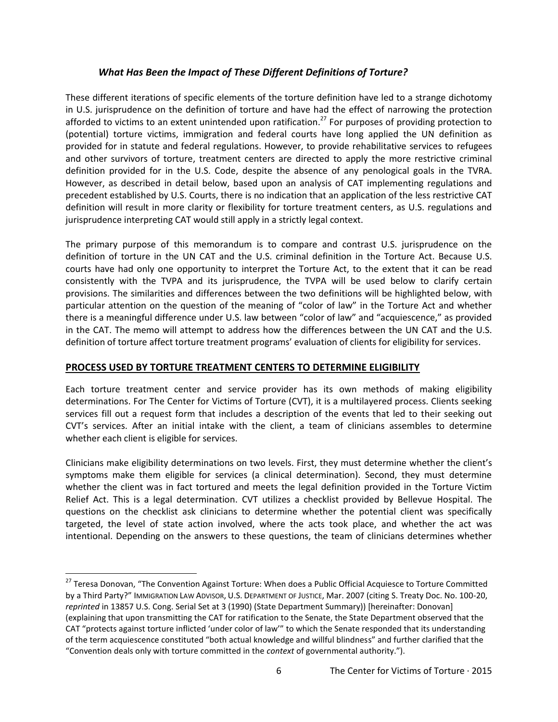### *What Has Been the Impact of These Different Definitions of Torture?*

These different iterations of specific elements of the torture definition have led to a strange dichotomy in U.S. jurisprudence on the definition of torture and have had the effect of narrowing the protection afforded to victims to an extent unintended upon ratification.<sup>27</sup> For purposes of providing protection to (potential) torture victims, immigration and federal courts have long applied the UN definition as provided for in statute and federal regulations. However, to provide rehabilitative services to refugees and other survivors of torture, treatment centers are directed to apply the more restrictive criminal definition provided for in the U.S. Code, despite the absence of any penological goals in the TVRA. However, as described in detail below, based upon an analysis of CAT implementing regulations and precedent established by U.S. Courts, there is no indication that an application of the less restrictive CAT definition will result in more clarity or flexibility for torture treatment centers, as U.S. regulations and jurisprudence interpreting CAT would still apply in a strictly legal context.

The primary purpose of this memorandum is to compare and contrast U.S. jurisprudence on the definition of torture in the UN CAT and the U.S. criminal definition in the Torture Act. Because U.S. courts have had only one opportunity to interpret the Torture Act, to the extent that it can be read consistently with the TVPA and its jurisprudence, the TVPA will be used below to clarify certain provisions. The similarities and differences between the two definitions will be highlighted below, with particular attention on the question of the meaning of "color of law" in the Torture Act and whether there is a meaningful difference under U.S. law between "color of law" and "acquiescence," as provided in the CAT. The memo will attempt to address how the differences between the UN CAT and the U.S. definition of torture affect torture treatment programs' evaluation of clients for eligibility for services.

### **PROCESS USED BY TORTURE TREATMENT CENTERS TO DETERMINE ELIGIBILITY**

 $\overline{\phantom{a}}$ 

Each torture treatment center and service provider has its own methods of making eligibility determinations. For The Center for Victims of Torture (CVT), it is a multilayered process. Clients seeking services fill out a request form that includes a description of the events that led to their seeking out CVT's services. After an initial intake with the client, a team of clinicians assembles to determine whether each client is eligible for services.

Clinicians make eligibility determinations on two levels. First, they must determine whether the client's symptoms make them eligible for services (a clinical determination). Second, they must determine whether the client was in fact tortured and meets the legal definition provided in the Torture Victim Relief Act. This is a legal determination. CVT utilizes a checklist provided by Bellevue Hospital. The questions on the checklist ask clinicians to determine whether the potential client was specifically targeted, the level of state action involved, where the acts took place, and whether the act was intentional. Depending on the answers to these questions, the team of clinicians determines whether

<sup>&</sup>lt;sup>27</sup> Teresa Donovan, "The Convention Against Torture: When does a Public Official Acquiesce to Torture Committed by a Third Party?" IMMIGRATION LAW ADVISOR, U.S. DEPARTMENT OF JUSTICE, Mar. 2007 (citing S. Treaty Doc. No. 100-20, *reprinted* in 13857 U.S. Cong. Serial Set at 3 (1990) (State Department Summary)) [hereinafter: Donovan] (explaining that upon transmitting the CAT for ratification to the Senate, the State Department observed that the CAT "protects against torture inflicted 'under color of law'" to which the Senate responded that its understanding of the term acquiescence constituted "both actual knowledge and willful blindness" and further clarified that the "Convention deals only with torture committed in the *context* of governmental authority.").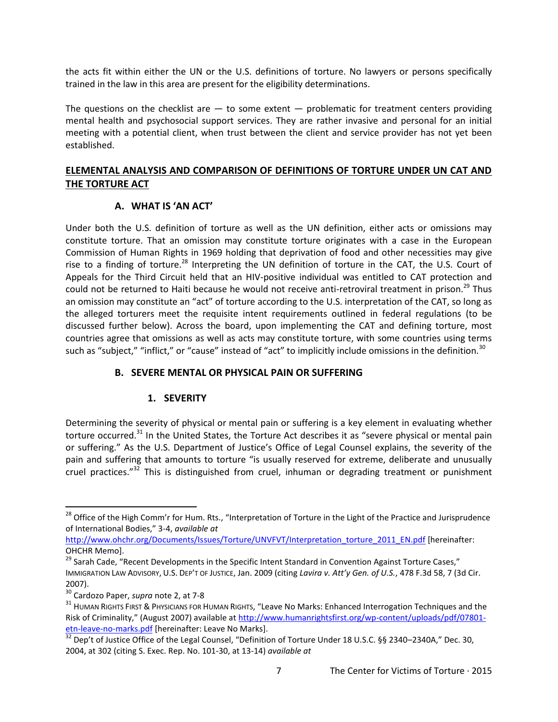the acts fit within either the UN or the U.S. definitions of torture. No lawyers or persons specifically trained in the law in this area are present for the eligibility determinations.

The questions on the checklist are  $-$  to some extent  $-$  problematic for treatment centers providing mental health and psychosocial support services. They are rather invasive and personal for an initial meeting with a potential client, when trust between the client and service provider has not yet been established.

### **ELEMENTAL ANALYSIS AND COMPARISON OF DEFINITIONS OF TORTURE UNDER UN CAT AND THE TORTURE ACT**

### **A. WHAT IS 'AN ACT'**

Under both the U.S. definition of torture as well as the UN definition, either acts or omissions may constitute torture. That an omission may constitute torture originates with a case in the European Commission of Human Rights in 1969 holding that deprivation of food and other necessities may give rise to a finding of torture.<sup>28</sup> Interpreting the UN definition of torture in the CAT, the U.S. Court of Appeals for the Third Circuit held that an HIV-positive individual was entitled to CAT protection and could not be returned to Haiti because he would not receive anti-retroviral treatment in prison.<sup>29</sup> Thus an omission may constitute an "act" of torture according to the U.S. interpretation of the CAT, so long as the alleged torturers meet the requisite intent requirements outlined in federal regulations (to be discussed further below). Across the board, upon implementing the CAT and defining torture, most countries agree that omissions as well as acts may constitute torture, with some countries using terms such as "subject," "inflict," or "cause" instead of "act" to implicitly include omissions in the definition.<sup>30</sup>

## **B. SEVERE MENTAL OR PHYSICAL PAIN OR SUFFERING**

## **1. SEVERITY**

Determining the severity of physical or mental pain or suffering is a key element in evaluating whether torture occurred.<sup>31</sup> In the United States, the Torture Act describes it as "severe physical or mental pain or suffering." As the U.S. Department of Justice's Office of Legal Counsel explains, the severity of the pain and suffering that amounts to torture "is usually reserved for extreme, deliberate and unusually cruel practices." $32$  This is distinguished from cruel, inhuman or degrading treatment or punishment

 $\overline{a}$ 

<sup>&</sup>lt;sup>28</sup> Office of the High Comm'r for Hum. Rts., "Interpretation of Torture in the Light of the Practice and Jurisprudence of International Bodies," 3-4, *available at*

[http://www.ohchr.org/Documents/Issues/Torture/UNVFVT/Interpretation\\_torture\\_2011\\_EN.pdf](http://www.ohchr.org/Documents/Issues/Torture/UNVFVT/Interpretation_torture_2011_EN.pdf) [hereinafter: OHCHR Memo].

<sup>&</sup>lt;sup>29</sup> Sarah Cade, "Recent Developments in the Specific Intent Standard in Convention Against Torture Cases," IMMIGRATION LAW ADVISORY, U.S. DEP'T OF JUSTICE, Jan. 2009 (citing *Lavira v. Att'y Gen. of U.S.*, 478 F.3d 58, 7 (3d Cir. 2007).

<sup>30</sup> Cardozo Paper, *supra* note 2, at 7-8

<sup>&</sup>lt;sup>31</sup> HUMAN RIGHTS FIRST & PHYSICIANS FOR HUMAN RIGHTS, "Leave No Marks: Enhanced Interrogation Techniques and the Risk of Criminality," (August 2007) available a[t http://www.humanrightsfirst.org/wp-content/uploads/pdf/07801](http://www.humanrightsfirst.org/wp-content/uploads/pdf/07801-etn-leave-no-marks.pdf) [etn-leave-no-marks.pdf](http://www.humanrightsfirst.org/wp-content/uploads/pdf/07801-etn-leave-no-marks.pdf) [hereinafter: Leave No Marks].

 $\frac{32}{32}$  Dep't of Justice Office of the Legal Counsel, "Definition of Torture Under 18 U.S.C. §§ 2340–2340A," Dec. 30, 2004, at 302 (citing S. Exec. Rep. No. 101-30, at 13-14) *available at*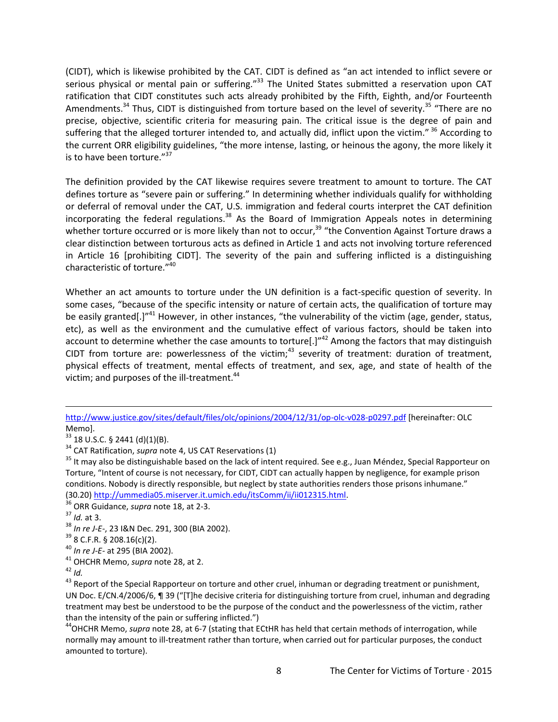(CIDT), which is likewise prohibited by the CAT. CIDT is defined as "an act intended to inflict severe or serious physical or mental pain or suffering."<sup>33</sup> The United States submitted a reservation upon CAT ratification that CIDT constitutes such acts already prohibited by the Fifth, Eighth, and/or Fourteenth Amendments.<sup>34</sup> Thus, CIDT is distinguished from torture based on the level of severity.<sup>35</sup> "There are no precise, objective, scientific criteria for measuring pain. The critical issue is the degree of pain and suffering that the alleged torturer intended to, and actually did, inflict upon the victim." <sup>36</sup> According to the current ORR eligibility guidelines, "the more intense, lasting, or heinous the agony, the more likely it is to have been torture."<sup>37</sup>

The definition provided by the CAT likewise requires severe treatment to amount to torture. The CAT defines torture as "severe pain or suffering." In determining whether individuals qualify for withholding or deferral of removal under the CAT, U.S. immigration and federal courts interpret the CAT definition incorporating the federal regulations.<sup>38</sup> As the Board of Immigration Appeals notes in determining whether torture occurred or is more likely than not to occur,<sup>39</sup> "the Convention Against Torture draws a clear distinction between torturous acts as defined in Article 1 and acts not involving torture referenced in Article 16 [prohibiting CIDT]. The severity of the pain and suffering inflicted is a distinguishing characteristic of torture."<sup>40</sup>

Whether an act amounts to torture under the UN definition is a fact-specific question of severity. In some cases, "because of the specific intensity or nature of certain acts, the qualification of torture may be easily granted[.]"<sup>41</sup> However, in other instances, "the vulnerability of the victim (age, gender, status, etc), as well as the environment and the cumulative effect of various factors, should be taken into account to determine whether the case amounts to torture[.]"<sup>42</sup> Among the factors that may distinguish CIDT from torture are: powerlessness of the victim;<sup>43</sup> severity of treatment: duration of treatment, physical effects of treatment, mental effects of treatment, and sex, age, and state of health of the victim; and purposes of the ill-treatment.<sup>44</sup>

 $\overline{a}$ 

<http://www.justice.gov/sites/default/files/olc/opinions/2004/12/31/op-olc-v028-p0297.pdf> [hereinafter: OLC Memo].

 $33$  18 U.S.C. § 2441 (d)(1)(B).

<sup>34</sup> CAT Ratification, *supra* note 4, US CAT Reservations (1)

<sup>&</sup>lt;sup>35</sup> It may also be distinguishable based on the lack of intent required. See e.g., Juan Méndez, Special Rapporteur on Torture, "Intent of course is not necessary, for CIDT, CIDT can actually happen by negligence, for example prison conditions. Nobody is directly responsible, but neglect by state authorities renders those prisons inhumane." (30.20) [http://ummedia05.miserver.it.umich.edu/itsComm/ii/ii012315.html.](http://ummedia05.miserver.it.umich.edu/itsComm/ii/ii012315.html)

<sup>36</sup> ORR Guidance, *supra* note 18, at 2-3.

<sup>37</sup> *Id.* at 3.

<sup>38</sup> *In re J-E-*, 23 I&N Dec. 291, 300 (BIA 2002).

 $39$  8 C.F.R. § 208.16(c)(2).

<sup>40</sup> *In re J-E-* at 295 (BIA 2002).

<sup>41</sup> OHCHR Memo, *supra* note 28, at 2.

<sup>42</sup> *Id.* 

<sup>&</sup>lt;sup>43</sup> Report of the Special Rapporteur on torture and other cruel, inhuman or degrading treatment or punishment, UN Doc. E/CN.4/2006/6, ¶ 39 ("[T]he decisive criteria for distinguishing torture from cruel, inhuman and degrading treatment may best be understood to be the purpose of the conduct and the powerlessness of the victim, rather than the intensity of the pain or suffering inflicted.")

<sup>44</sup>OHCHR Memo, *supra* note 28, at 6-7 (stating that ECtHR has held that certain methods of interrogation, while normally may amount to ill-treatment rather than torture, when carried out for particular purposes, the conduct amounted to torture).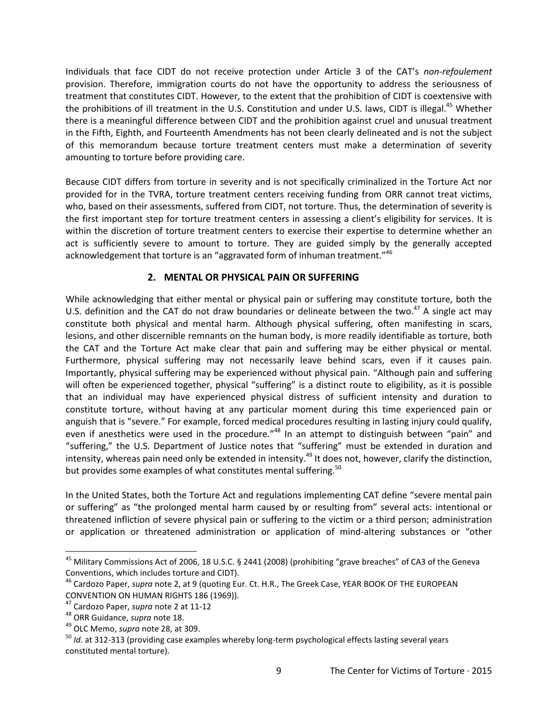Individuals that face CIDT do not receive protection under Article 3 of the CAT's *non-refoulement* provision. Therefore, immigration courts do not have the opportunity to address the seriousness of treatment that constitutes CIDT. However, to the extent that the prohibition of CIDT is coextensive with the prohibitions of ill treatment in the U.S. Constitution and under U.S. laws, CIDT is illegal.<sup>45</sup> Whether there is a meaningful difference between CIDT and the prohibition against cruel and unusual treatment in the Fifth, Eighth, and Fourteenth Amendments has not been clearly delineated and is not the subject of this memorandum because torture treatment centers must make a determination of severity amounting to torture before providing care.

Because CIDT differs from torture in severity and is not specifically criminalized in the Torture Act nor provided for in the TVRA, torture treatment centers receiving funding from ORR cannot treat victims, who, based on their assessments, suffered from CIDT, not torture. Thus, the determination of severity is the first important step for torture treatment centers in assessing a client's eligibility for services. It is within the discretion of torture treatment centers to exercise their expertise to determine whether an act is sufficiently severe to amount to torture. They are guided simply by the generally accepted acknowledgement that torture is an "aggravated form of inhuman treatment."<sup>46</sup>

### **2. MENTAL OR PHYSICAL PAIN OR SUFFERING**

While acknowledging that either mental or physical pain or suffering may constitute torture, both the U.S. definition and the CAT do not draw boundaries or delineate between the two.<sup>47</sup> A single act may constitute both physical and mental harm. Although physical suffering, often manifesting in scars, lesions, and other discernible remnants on the human body, is more readily identifiable as torture, both the CAT and the Torture Act make clear that pain and suffering may be either physical or mental. Furthermore, physical suffering may not necessarily leave behind scars, even if it causes pain. Importantly, physical suffering may be experienced without physical pain. "Although pain and suffering will often be experienced together, physical "suffering" is a distinct route to eligibility, as it is possible that an individual may have experienced physical distress of sufficient intensity and duration to constitute torture, without having at any particular moment during this time experienced pain or anguish that is "severe." For example, forced medical procedures resulting in lasting injury could qualify, even if anesthetics were used in the procedure."<sup>48</sup> In an attempt to distinguish between "pain" and "suffering," the U.S. Department of Justice notes that "suffering" must be extended in duration and intensity, whereas pain need only be extended in intensity.<sup>49</sup> It does not, however, clarify the distinction, but provides some examples of what constitutes mental suffering.<sup>50</sup>

In the United States, both the Torture Act and regulations implementing CAT define "severe mental pain or suffering" as "the prolonged mental harm caused by or resulting from" several acts: intentional or threatened infliction of severe physical pain or suffering to the victim or a third person; administration or application or threatened administration or application of mind-altering substances or "other

<sup>&</sup>lt;sup>45</sup> Military Commissions Act of 2006, 18 U.S.C. § 2441 (2008) (prohibiting "grave breaches" of CA3 of the Geneva Conventions, which includes torture and CIDT).

<sup>46</sup> Cardozo Paper, *supra* note 2, at 9 (quoting Eur. Ct. H.R., The Greek Case, YEAR BOOK OF THE EUROPEAN CONVENTION ON HUMAN RIGHTS 186 (1969)).

<sup>47</sup> Cardozo Paper, *supra* note 2 at 11-12

<sup>48</sup> ORR Guidance, *supra* note 18.

<sup>49</sup> OLC Memo, *supra* note 28, at 309.

<sup>50</sup> *Id.* at 312-313 (providing case examples whereby long-term psychological effects lasting several years constituted mental torture).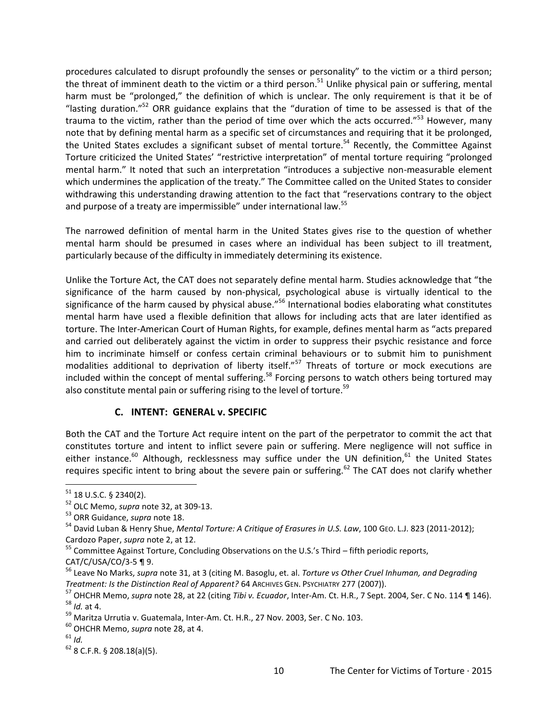procedures calculated to disrupt profoundly the senses or personality" to the victim or a third person; the threat of imminent death to the victim or a third person.<sup>51</sup> Unlike physical pain or suffering, mental harm must be "prolonged," the definition of which is unclear. The only requirement is that it be of "lasting duration."<sup>52</sup> ORR guidance explains that the "duration of time to be assessed is that of the trauma to the victim, rather than the period of time over which the acts occurred."<sup>53</sup> However, many note that by defining mental harm as a specific set of circumstances and requiring that it be prolonged, the United States excludes a significant subset of mental torture.<sup>54</sup> Recently, the Committee Against Torture criticized the United States' "restrictive interpretation" of mental torture requiring "prolonged mental harm." It noted that such an interpretation "introduces a subjective non-measurable element which undermines the application of the treaty." The Committee called on the United States to consider withdrawing this understanding drawing attention to the fact that "reservations contrary to the object and purpose of a treaty are impermissible" under international law.<sup>55</sup>

The narrowed definition of mental harm in the United States gives rise to the question of whether mental harm should be presumed in cases where an individual has been subject to ill treatment, particularly because of the difficulty in immediately determining its existence.

Unlike the Torture Act, the CAT does not separately define mental harm. Studies acknowledge that "the significance of the harm caused by non-physical, psychological abuse is virtually identical to the significance of the harm caused by physical abuse."<sup>56</sup> International bodies elaborating what constitutes mental harm have used a flexible definition that allows for including acts that are later identified as torture. The Inter-American Court of Human Rights, for example, defines mental harm as "acts prepared and carried out deliberately against the victim in order to suppress their psychic resistance and force him to incriminate himself or confess certain criminal behaviours or to submit him to punishment modalities additional to deprivation of liberty itself."<sup>57</sup> Threats of torture or mock executions are included within the concept of mental suffering.<sup>58</sup> Forcing persons to watch others being tortured may also constitute mental pain or suffering rising to the level of torture.<sup>59</sup>

### **C. INTENT: GENERAL v. SPECIFIC**

Both the CAT and the Torture Act require intent on the part of the perpetrator to commit the act that constitutes torture and intent to inflict severe pain or suffering. Mere negligence will not suffice in either instance.<sup>60</sup> Although, recklessness may suffice under the UN definition,<sup>61</sup> the United States requires specific intent to bring about the severe pain or suffering.<sup>62</sup> The CAT does not clarify whether

 $51$  18 U.S.C. § 2340(2).

<sup>52</sup> OLC Memo, *supra* note 32, at 309-13.

<sup>53</sup> ORR Guidance, *supra* note 18.

<sup>&</sup>lt;sup>54</sup> David Luban & Henry Shue, *Mental Torture: A Critique of Erasures in U.S. Law*, 100 GEO. L.J. 823 (2011-2012); Cardozo Paper, *supra* note 2, at 12.

<sup>&</sup>lt;sup>55</sup> Committee Against Torture, Concluding Observations on the U.S.'s Third – fifth periodic reports, CAT/C/USA/CO/3-5 ¶ 9.

<sup>56</sup> Leave No Marks, *supra* note 31, at 3 (citing M. Basoglu, et. al. *Torture vs Other Cruel Inhuman, and Degrading Treatment: Is the Distinction Real of Apparent?* 64 ARCHIVES GEN. PSYCHIATRY 277 (2007)).

<sup>57</sup> OHCHR Memo, *supra* note 28, at 22 (citing *Tibi v. Ecuador*, Inter-Am. Ct. H.R., 7 Sept. 2004, Ser. C No. 114 ¶ 146). <sup>58</sup> *Id.* at 4.

<sup>59</sup> Maritza Urrutia v. Guatemala, Inter-Am. Ct. H.R., 27 Nov. 2003, Ser. C No. 103.

<sup>60</sup> OHCHR Memo, *supra* note 28, at 4.

<sup>61</sup> *Id.*

 $62$  8 C.F.R. § 208.18(a)(5).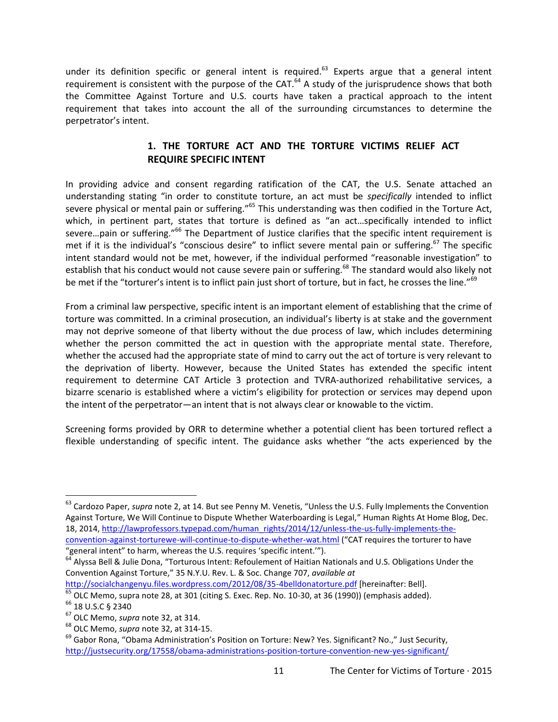under its definition specific or general intent is required. $63$  Experts argue that a general intent requirement is consistent with the purpose of the CAT.<sup>64</sup> A study of the jurisprudence shows that both the Committee Against Torture and U.S. courts have taken a practical approach to the intent requirement that takes into account the all of the surrounding circumstances to determine the perpetrator's intent.

### **1. THE TORTURE ACT AND THE TORTURE VICTIMS RELIEF ACT REQUIRE SPECIFIC INTENT**

In providing advice and consent regarding ratification of the CAT, the U.S. Senate attached an understanding stating "in order to constitute torture, an act must be *specifically* intended to inflict severe physical or mental pain or suffering."<sup>65</sup> This understanding was then codified in the Torture Act, which, in pertinent part, states that torture is defined as "an act...specifically intended to inflict severe...pain or suffering."<sup>66</sup> The Department of Justice clarifies that the specific intent requirement is met if it is the individual's "conscious desire" to inflict severe mental pain or suffering.<sup>67</sup> The specific intent standard would not be met, however, if the individual performed "reasonable investigation" to establish that his conduct would not cause severe pain or suffering.<sup>68</sup> The standard would also likely not be met if the "torturer's intent is to inflict pain just short of torture, but in fact, he crosses the line."<sup>69</sup>

From a criminal law perspective, specific intent is an important element of establishing that the crime of torture was committed. In a criminal prosecution, an individual's liberty is at stake and the government may not deprive someone of that liberty without the due process of law, which includes determining whether the person committed the act in question with the appropriate mental state. Therefore, whether the accused had the appropriate state of mind to carry out the act of torture is very relevant to the deprivation of liberty. However, because the United States has extended the specific intent requirement to determine CAT Article 3 protection and TVRA-authorized rehabilitative services, a bizarre scenario is established where a victim's eligibility for protection or services may depend upon the intent of the perpetrator—an intent that is not always clear or knowable to the victim.

Screening forms provided by ORR to determine whether a potential client has been tortured reflect a flexible understanding of specific intent. The guidance asks whether "the acts experienced by the

"general intent" to harm, whereas the U.S. requires 'specific intent.'").

<sup>63</sup> Cardozo Paper, *supra* note 2, at 14. But see Penny M. Venetis, "Unless the U.S. Fully Implements the Convention Against Torture, We Will Continue to Dispute Whether Waterboarding is Legal," Human Rights At Home Blog, Dec. 18, 2014, [http://lawprofessors.typepad.com/human\\_rights/2014/12/unless-the-us-fully-implements-the](http://lawprofessors.typepad.com/human_rights/2014/12/unless-the-us-fully-implements-the-convention-against-torturewe-will-continue-to-dispute-whether-wat.html)[convention-against-torturewe-will-continue-to-dispute-whether-wat.html](http://lawprofessors.typepad.com/human_rights/2014/12/unless-the-us-fully-implements-the-convention-against-torturewe-will-continue-to-dispute-whether-wat.html) ("CAT requires the torturer to have

Alyssa Bell & Julie Dona, "Torturous Intent: Refoulement of Haitian Nationals and U.S. Obligations Under the Convention Against Torture," 35 N.Y.U. Rev. L. & Soc. Change 707, *available at*

<http://socialchangenyu.files.wordpress.com/2012/08/35-4belldonatorture.pdf> [hereinafter: Bell].

OLC Memo, supra note 28, at 301 (citing S. Exec. Rep. No. 10-30, at 36 (1990)) (emphasis added).

<sup>66</sup> 18 U.S.C § 2340

<sup>67</sup> OLC Memo, *supra* note 32, at 314.

<sup>68</sup> OLC Memo, *supra* note 32, at 314-15.

 $^{69}$  Gabor Rona, "Obama Administration's Position on Torture: New? Yes. Significant? No.," Just Security, <http://justsecurity.org/17558/obama-administrations-position-torture-convention-new-yes-significant/>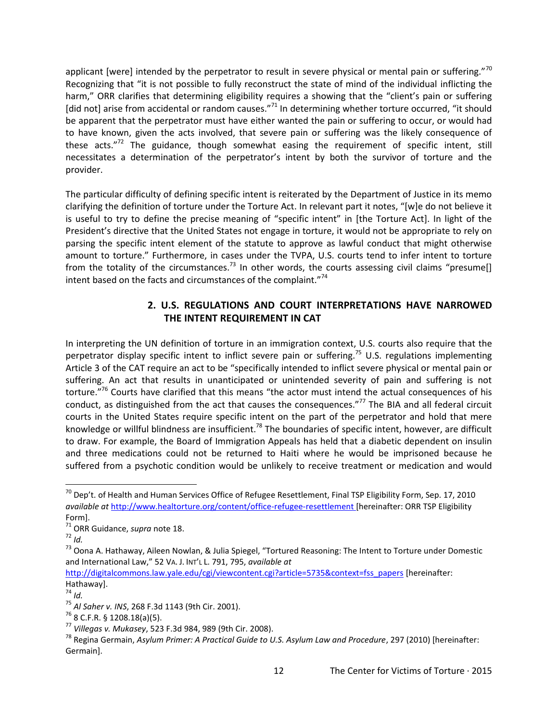applicant [were] intended by the perpetrator to result in severe physical or mental pain or suffering."70 Recognizing that "it is not possible to fully reconstruct the state of mind of the individual inflicting the harm," ORR clarifies that determining eligibility requires a showing that the "client's pain or suffering [did not] arise from accidental or random causes."<sup>71</sup> In determining whether torture occurred, "it should be apparent that the perpetrator must have either wanted the pain or suffering to occur, or would had to have known, given the acts involved, that severe pain or suffering was the likely consequence of these acts." $72$  The guidance, though somewhat easing the requirement of specific intent, still necessitates a determination of the perpetrator's intent by both the survivor of torture and the provider.

The particular difficulty of defining specific intent is reiterated by the Department of Justice in its memo clarifying the definition of torture under the Torture Act. In relevant part it notes, "[w]e do not believe it is useful to try to define the precise meaning of "specific intent" in [the Torture Act]. In light of the President's directive that the United States not engage in torture, it would not be appropriate to rely on parsing the specific intent element of the statute to approve as lawful conduct that might otherwise amount to torture." Furthermore, in cases under the TVPA, U.S. courts tend to infer intent to torture from the totality of the circumstances.<sup>73</sup> In other words, the courts assessing civil claims "presume[] intent based on the facts and circumstances of the complaint."<sup>74</sup>

## **2. U.S. REGULATIONS AND COURT INTERPRETATIONS HAVE NARROWED THE INTENT REQUIREMENT IN CAT**

In interpreting the UN definition of torture in an immigration context, U.S. courts also require that the perpetrator display specific intent to inflict severe pain or suffering.<sup>75</sup> U.S. regulations implementing Article 3 of the CAT require an act to be "specifically intended to inflict severe physical or mental pain or suffering. An act that results in unanticipated or unintended severity of pain and suffering is not torture."<sup>76</sup> Courts have clarified that this means "the actor must intend the actual consequences of his conduct, as distinguished from the act that causes the consequences."<sup>77</sup> The BIA and all federal circuit courts in the United States require specific intent on the part of the perpetrator and hold that mere knowledge or willful blindness are insufficient.<sup>78</sup> The boundaries of specific intent, however, are difficult to draw. For example, the Board of Immigration Appeals has held that a diabetic dependent on insulin and three medications could not be returned to Haiti where he would be imprisoned because he suffered from a psychotic condition would be unlikely to receive treatment or medication and would

<sup>&</sup>lt;sup>70</sup> Dep't. of Health and Human Services Office of Refugee Resettlement, Final TSP Eligibility Form, Sep. 17, 2010 *available at* <http://www.healtorture.org/content/office-refugee-resettlement> [hereinafter: ORR TSP Eligibility Form].

<sup>71</sup> ORR Guidance, *supra* note 18.

<sup>72</sup> *Id.*

<sup>&</sup>lt;sup>73</sup> Oona A. Hathaway, Aileen Nowlan, & Julia Spiegel, "Tortured Reasoning: The Intent to Torture under Domestic and International Law," 52 VA. J. INT'L L. 791, 795, *available at*

[http://digitalcommons.law.yale.edu/cgi/viewcontent.cgi?article=5735&context=fss\\_papers](http://digitalcommons.law.yale.edu/cgi/viewcontent.cgi?article=5735&context=fss_papers) [hereinafter: Hathaway].

<sup>74</sup> *Id.*

<sup>75</sup> *Al Saher v. INS*, 268 F.3d 1143 (9th Cir. 2001).

<sup>76</sup> 8 C.F.R. § 1208.18(a)(5).

<sup>77</sup> *Villegas v. Mukasey*, 523 F.3d 984, 989 (9th Cir. 2008).

<sup>78</sup> Regina Germain, *Asylum Primer: A Practical Guide to U.S. Asylum Law and Procedure*, 297 (2010) [hereinafter: Germain].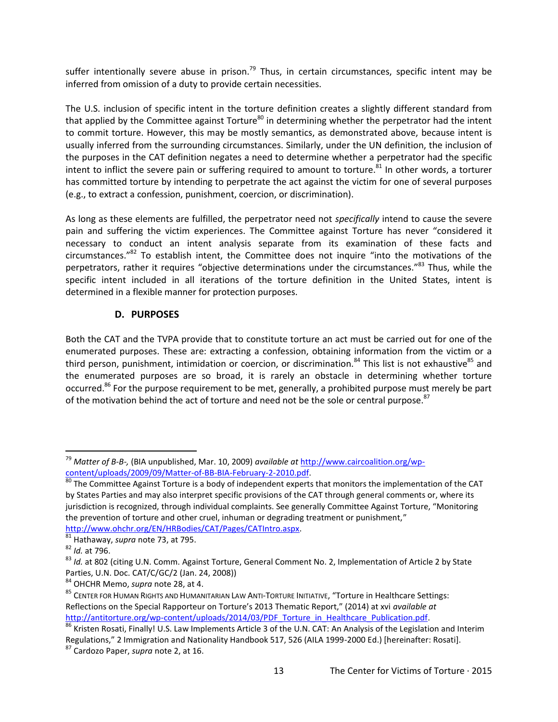suffer intentionally severe abuse in prison.<sup>79</sup> Thus, in certain circumstances, specific intent may be inferred from omission of a duty to provide certain necessities.

The U.S. inclusion of specific intent in the torture definition creates a slightly different standard from that applied by the Committee against Torture<sup>80</sup> in determining whether the perpetrator had the intent to commit torture. However, this may be mostly semantics, as demonstrated above, because intent is usually inferred from the surrounding circumstances. Similarly, under the UN definition, the inclusion of the purposes in the CAT definition negates a need to determine whether a perpetrator had the specific intent to inflict the severe pain or suffering required to amount to torture.<sup>81</sup> In other words, a torturer has committed torture by intending to perpetrate the act against the victim for one of several purposes (e.g., to extract a confession, punishment, coercion, or discrimination).

As long as these elements are fulfilled, the perpetrator need not *specifically* intend to cause the severe pain and suffering the victim experiences. The Committee against Torture has never "considered it necessary to conduct an intent analysis separate from its examination of these facts and circumstances."<sup>82</sup> To establish intent, the Committee does not inquire "into the motivations of the perpetrators, rather it requires "objective determinations under the circumstances."<sup>83</sup> Thus, while the specific intent included in all iterations of the torture definition in the United States, intent is determined in a flexible manner for protection purposes.

### **D. PURPOSES**

Both the CAT and the TVPA provide that to constitute torture an act must be carried out for one of the enumerated purposes. These are: extracting a confession, obtaining information from the victim or a third person, punishment, intimidation or coercion, or discrimination.<sup>84</sup> This list is not exhaustive<sup>85</sup> and the enumerated purposes are so broad, it is rarely an obstacle in determining whether torture occurred.<sup>86</sup> For the purpose requirement to be met, generally, a prohibited purpose must merely be part of the motivation behind the act of torture and need not be the sole or central purpose.<sup>87</sup>

[http://www.ohchr.org/EN/HRBodies/CAT/Pages/CATIntro.aspx.](http://www.ohchr.org/EN/HRBodies/CAT/Pages/CATIntro.aspx)

l

<sup>79</sup> *Matter of B-B-,* (BIA unpublished, Mar. 10, 2009) *available at* [http://www.caircoalition.org/wp](http://www.caircoalition.org/wp-content/uploads/2009/09/Matter-of-BB-BIA-February-2-2010.pdf)[content/uploads/2009/09/Matter-of-BB-BIA-February-2-2010.pdf.](http://www.caircoalition.org/wp-content/uploads/2009/09/Matter-of-BB-BIA-February-2-2010.pdf)

 $\overline{80}$  The Committee Against Torture is a body of independent experts that monitors the implementation of the CAT by States Parties and may also interpret specific provisions of the CAT through general comments or, where its jurisdiction is recognized, through individual complaints. See generally Committee Against Torture, "Monitoring the prevention of torture and other cruel, inhuman or degrading treatment or punishment,"

<sup>81</sup> Hathaway, *supra* note 73, at 795.

<sup>82</sup> *Id.* at 796.

<sup>83</sup> Id. at 802 (citing U.N. Comm. Against Torture, General Comment No. 2, Implementation of Article 2 by State Parties, U.N. Doc. CAT/C/GC/2 (Jan. 24, 2008))

<sup>84</sup> OHCHR Memo, *supra* note 28, at 4.

<sup>85</sup> CENTER FOR HUMAN RIGHTS AND HUMANITARIAN LAW ANTI-TORTURE INITIATIVE, "Torture in Healthcare Settings: Reflections on the Special Rapporteur on Torture's 2013 Thematic Report," (2014) at xvi *available at* [http://antitorture.org/wp-content/uploads/2014/03/PDF\\_Torture\\_in\\_Healthcare\\_Publication.pdf.](http://antitorture.org/wp-content/uploads/2014/03/PDF_Torture_in_Healthcare_Publication.pdf)

<sup>86</sup> Kristen Rosati, Finally! U.S. Law Implements Article 3 of the U.N. CAT: An Analysis of the Legislation and Interim Regulations," 2 Immigration and Nationality Handbook 517, 526 (AILA 1999-2000 Ed.) [hereinafter: Rosati].

<sup>87</sup> Cardozo Paper, *supra* note 2, at 16.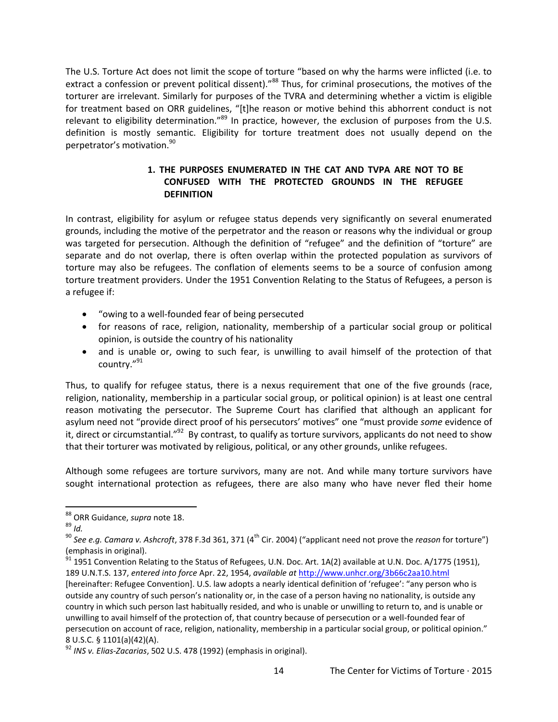The U.S. Torture Act does not limit the scope of torture "based on why the harms were inflicted (i.e. to extract a confession or prevent political dissent)."<sup>88</sup> Thus, for criminal prosecutions, the motives of the torturer are irrelevant. Similarly for purposes of the TVRA and determining whether a victim is eligible for treatment based on ORR guidelines, "[t]he reason or motive behind this abhorrent conduct is not relevant to eligibility determination."<sup>89</sup> In practice, however, the exclusion of purposes from the U.S. definition is mostly semantic. Eligibility for torture treatment does not usually depend on the perpetrator's motivation. 90

### **1. THE PURPOSES ENUMERATED IN THE CAT AND TVPA ARE NOT TO BE CONFUSED WITH THE PROTECTED GROUNDS IN THE REFUGEE DEFINITION**

In contrast, eligibility for asylum or refugee status depends very significantly on several enumerated grounds, including the motive of the perpetrator and the reason or reasons why the individual or group was targeted for persecution. Although the definition of "refugee" and the definition of "torture" are separate and do not overlap, there is often overlap within the protected population as survivors of torture may also be refugees. The conflation of elements seems to be a source of confusion among torture treatment providers. Under the 1951 Convention Relating to the Status of Refugees, a person is a refugee if:

- "owing to a well-founded fear of being persecuted
- for reasons of race, religion, nationality, membership of a particular social group or political opinion, is outside the country of his nationality
- and is unable or, owing to such fear, is unwilling to avail himself of the protection of that country."<sup>91</sup>

Thus, to qualify for refugee status, there is a nexus requirement that one of the five grounds (race, religion, nationality, membership in a particular social group, or political opinion) is at least one central reason motivating the persecutor. The Supreme Court has clarified that although an applicant for asylum need not "provide direct proof of his persecutors' motives" one "must provide *some* evidence of it, direct or circumstantial."<sup>92</sup> By contrast, to qualify as torture survivors, applicants do not need to show that their torturer was motivated by religious, political, or any other grounds, unlike refugees.

Although some refugees are torture survivors, many are not. And while many torture survivors have sought international protection as refugees, there are also many who have never fled their home

 $\overline{a}$ 

<sup>88</sup> ORR Guidance, *supra* note 18.

<sup>89</sup> *Id.*

<sup>90</sup> *See e.g. Camara v. Ashcroft*, 378 F.3d 361, 371 (4th Cir. 2004) ("applicant need not prove the *reason* for torture") (emphasis in original).

<sup>91 1951</sup> Convention Relating to the Status of Refugees, U.N. Doc. Art. 1A(2) available at U.N. Doc. A/1775 (1951), 189 U.N.T.S. 137, *entered into force* Apr. 22, 1954, *available at* <http://www.unhcr.org/3b66c2aa10.html> [hereinafter: Refugee Convention]. U.S. law adopts a nearly identical definition of 'refugee': "any person who is outside any country of such person's nationality or, in the case of a person having no nationality, is outside any country in which such person last habitually resided, and who is unable or unwilling to return to, and is unable or unwilling to avail himself of the protection of, that country because of persecution or a well-founded fear of persecution on account of race, religion, nationality, membership in a particular social group, or political opinion." 8 U.S.C. § 1101(a)(42)(A).

<sup>92</sup> *INS v. Elias-Zacarias*, 502 U.S. 478 (1992) (emphasis in original).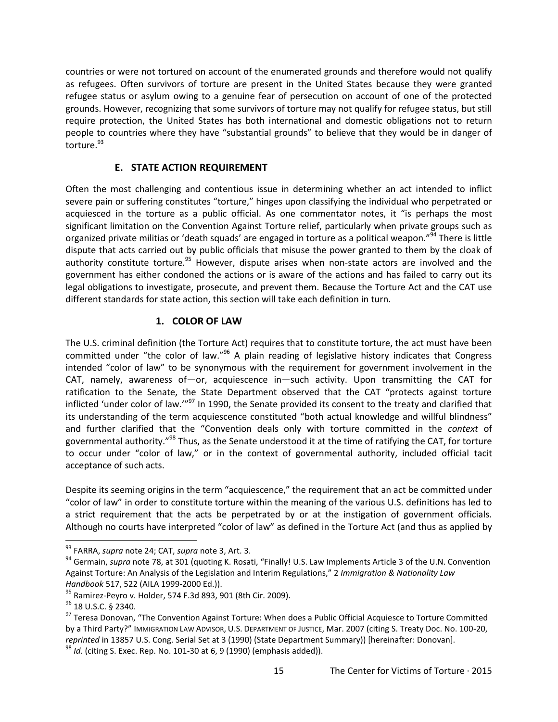countries or were not tortured on account of the enumerated grounds and therefore would not qualify as refugees. Often survivors of torture are present in the United States because they were granted refugee status or asylum owing to a genuine fear of persecution on account of one of the protected grounds. However, recognizing that some survivors of torture may not qualify for refugee status, but still require protection, the United States has both international and domestic obligations not to return people to countries where they have "substantial grounds" to believe that they would be in danger of torture.<sup>93</sup>

### **E. STATE ACTION REQUIREMENT**

Often the most challenging and contentious issue in determining whether an act intended to inflict severe pain or suffering constitutes "torture," hinges upon classifying the individual who perpetrated or acquiesced in the torture as a public official. As one commentator notes, it "is perhaps the most significant limitation on the Convention Against Torture relief, particularly when private groups such as organized private militias or 'death squads' are engaged in torture as a political weapon."<sup>94</sup> There is little dispute that acts carried out by public officials that misuse the power granted to them by the cloak of authority constitute torture.<sup>95</sup> However, dispute arises when non-state actors are involved and the government has either condoned the actions or is aware of the actions and has failed to carry out its legal obligations to investigate, prosecute, and prevent them. Because the Torture Act and the CAT use different standards for state action, this section will take each definition in turn.

## **1. COLOR OF LAW**

The U.S. criminal definition (the Torture Act) requires that to constitute torture, the act must have been committed under "the color of law."<sup>96</sup> A plain reading of legislative history indicates that Congress intended "color of law" to be synonymous with the requirement for government involvement in the CAT, namely, awareness of—or, acquiescence in—such activity. Upon transmitting the CAT for ratification to the Senate, the State Department observed that the CAT "protects against torture inflicted 'under color of law.'"<sup>97</sup> In 1990, the Senate provided its consent to the treaty and clarified that its understanding of the term acquiescence constituted "both actual knowledge and willful blindness" and further clarified that the "Convention deals only with torture committed in the *context* of governmental authority."<sup>98</sup> Thus, as the Senate understood it at the time of ratifying the CAT, for torture to occur under "color of law," or in the context of governmental authority, included official tacit acceptance of such acts.

Despite its seeming origins in the term "acquiescence," the requirement that an act be committed under "color of law" in order to constitute torture within the meaning of the various U.S. definitions has led to a strict requirement that the acts be perpetrated by or at the instigation of government officials. Although no courts have interpreted "color of law" as defined in the Torture Act (and thus as applied by

95 Ramirez-Peyro v. Holder, 574 F.3d 893, 901 (8th Cir. 2009).

<sup>93</sup> FARRA, *supra* note 24; CAT, *supra* note 3, Art. 3.

<sup>&</sup>lt;sup>94</sup> Germain, *supra* note 78, at 301 (quoting K. Rosati, "Finally! U.S. Law Implements Article 3 of the U.N. Convention Against Torture: An Analysis of the Legislation and Interim Regulations," 2 *Immigration & Nationality Law Handbook* 517, 522 (AILA 1999-2000 Ed.)).

<sup>96</sup> 18 U.S.C. § 2340.

<sup>&</sup>lt;sup>97</sup> Teresa Donovan, "The Convention Against Torture: When does a Public Official Acquiesce to Torture Committed by a Third Party?" IMMIGRATION LAW ADVISOR, U.S. DEPARTMENT OF JUSTICE, Mar. 2007 (citing S. Treaty Doc. No. 100-20, *reprinted* in 13857 U.S. Cong. Serial Set at 3 (1990) (State Department Summary)) [hereinafter: Donovan].

<sup>98</sup> *Id.* (citing S. Exec. Rep. No. 101-30 at 6, 9 (1990) (emphasis added)).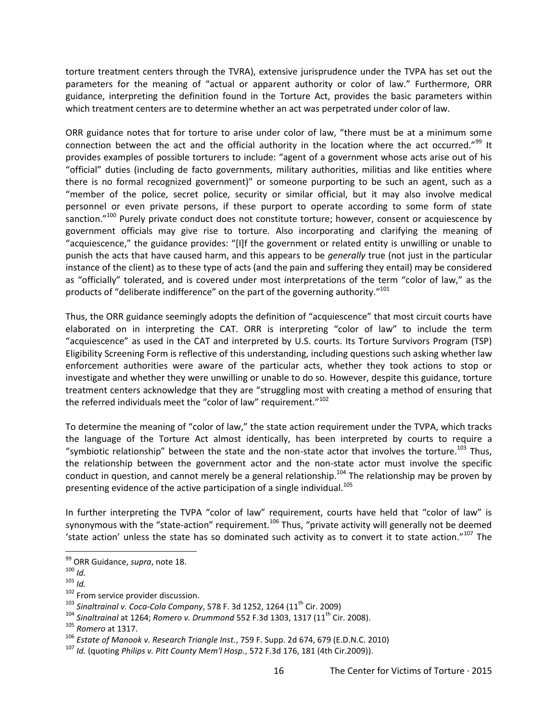torture treatment centers through the TVRA), extensive jurisprudence under the TVPA has set out the parameters for the meaning of "actual or apparent authority or color of law." Furthermore, ORR guidance, interpreting the definition found in the Torture Act, provides the basic parameters within which treatment centers are to determine whether an act was perpetrated under color of law.

ORR guidance notes that for torture to arise under color of law, "there must be at a minimum some connection between the act and the official authority in the location where the act occurred."<sup>99</sup> It provides examples of possible torturers to include: "agent of a government whose acts arise out of his "official" duties (including de facto governments, military authorities, militias and like entities where there is no formal recognized government)" or someone purporting to be such an agent, such as a "member of the police, secret police, security or similar official, but it may also involve medical personnel or even private persons, if these purport to operate according to some form of state sanction."<sup>100</sup> Purely private conduct does not constitute torture; however, consent or acquiescence by government officials may give rise to torture. Also incorporating and clarifying the meaning of "acquiescence," the guidance provides: "[I]f the government or related entity is unwilling or unable to punish the acts that have caused harm, and this appears to be *generally* true (not just in the particular instance of the client) as to these type of acts (and the pain and suffering they entail) may be considered as "officially" tolerated, and is covered under most interpretations of the term "color of law," as the products of "deliberate indifference" on the part of the governing authority."<sup>101</sup>

Thus, the ORR guidance seemingly adopts the definition of "acquiescence" that most circuit courts have elaborated on in interpreting the CAT. ORR is interpreting "color of law" to include the term "acquiescence" as used in the CAT and interpreted by U.S. courts. Its Torture Survivors Program (TSP) Eligibility Screening Form is reflective of this understanding, including questions such asking whether law enforcement authorities were aware of the particular acts, whether they took actions to stop or investigate and whether they were unwilling or unable to do so. However, despite this guidance, torture treatment centers acknowledge that they are "struggling most with creating a method of ensuring that the referred individuals meet the "color of law" requirement."<sup>102</sup>

To determine the meaning of "color of law," the state action requirement under the TVPA, which tracks the language of the Torture Act almost identically, has been interpreted by courts to require a "symbiotic relationship" between the state and the non-state actor that involves the torture.<sup>103</sup> Thus, the relationship between the government actor and the non-state actor must involve the specific conduct in question, and cannot merely be a general relationship.<sup>104</sup> The relationship may be proven by presenting evidence of the active participation of a single individual.<sup>105</sup>

In further interpreting the TVPA "color of law" requirement, courts have held that "color of law" is synonymous with the "state-action" requirement.<sup>106</sup> Thus, "private activity will generally not be deemed 'state action' unless the state has so dominated such activity as to convert it to state action."<sup>107</sup> The

<sup>99</sup> ORR Guidance, *supra*, note 18.

<sup>100</sup> *Id.*

<sup>101</sup> *Id.*

<sup>&</sup>lt;sup>102</sup> From service provider discussion.

<sup>103</sup> *Sinaltrainal v. Coca-Cola Company*, 578 F. 3d 1252, 1264 (11th Cir. 2009)

<sup>&</sup>lt;sup>104</sup> Sinaltrainal at 1264; Romero v. Drummond 552 F.3d 1303, 1317 (11<sup>th</sup> Cir. 2008).

<sup>105</sup> *Romero* at 1317.

<sup>106</sup> *Estate of Manook v. Research Triangle Inst.*, 759 F. Supp. 2d 674, 679 (E.D.N.C. 2010)

<sup>107</sup> *Id.* (quoting *[Philips v. Pitt County Mem'l Hosp.](http://scholar.google.com/scholar_case?case=16321510219514430363&q=Estate+of+Manook+v.+Research+Triangle+Inst.,+759+F.+Supp.+2d+674&hl=en&as_sdt=20006&as_vis=1)*, 572 F.3d 176, 181 (4th Cir.2009)).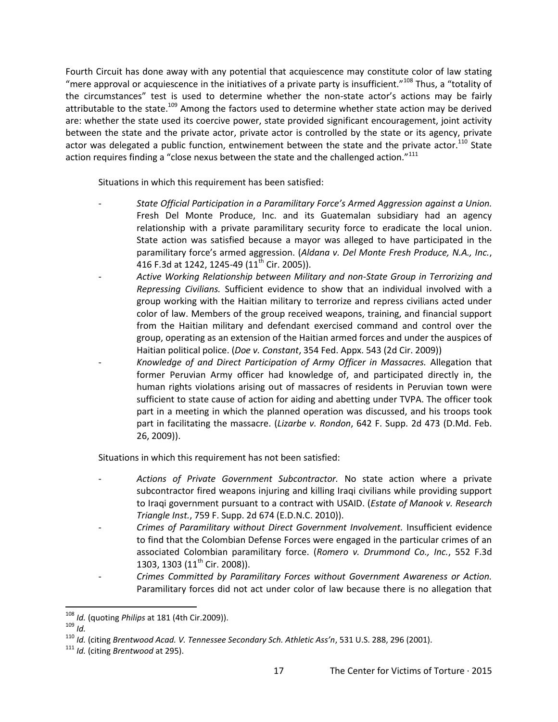Fourth Circuit has done away with any potential that acquiescence may constitute color of law stating "mere approval or acquiescence in the initiatives of a private party is insufficient."<sup>108</sup> Thus, a "totality of the circumstances" test is used to determine whether the non-state actor's actions may be fairly attributable to the state.<sup>109</sup> Among the factors used to determine whether state action may be derived are: whether the state used its coercive power, state provided significant encouragement, joint activity between the state and the private actor, private actor is controlled by the state or its agency, private actor was delegated a public function, entwinement between the state and the private actor.<sup>110</sup> State action requires finding a "close nexus between the state and the challenged action."<sup>111</sup>

Situations in which this requirement has been satisfied:

- *State Official Participation in a Paramilitary Force's Armed Aggression against a Union.*  Fresh Del Monte Produce, Inc. and its Guatemalan subsidiary had an agency relationship with a private paramilitary security force to eradicate the local union. State action was satisfied because a mayor was alleged to have participated in the paramilitary force's armed aggression. (*Aldana v. Del Monte Fresh Produce, N.A., Inc.*, 416 F.3d at 1242, 1245-49 (11<sup>th</sup> Cir. 2005)).
- *Active Working Relationship between Military and non-State Group in Terrorizing and Repressing Civilians.* Sufficient evidence to show that an individual involved with a group working with the Haitian military to terrorize and repress civilians acted under color of law. Members of the group received weapons, training, and financial support from the Haitian military and defendant exercised command and control over the group, operating as an extension of the Haitian armed forces and under the auspices of Haitian political police. (*Doe v. Constant*, 354 Fed. Appx. 543 (2d Cir. 2009))
- *Knowledge of and Direct Participation of Army Officer in Massacres.* Allegation that former Peruvian Army officer had knowledge of, and participated directly in, the human rights violations arising out of massacres of residents in Peruvian town were sufficient to state cause of action for aiding and abetting under TVPA. The officer took part in a meeting in which the planned operation was discussed, and his troops took part in facilitating the massacre. (*Lizarbe v. Rondon*, 642 F. Supp. 2d 473 (D.Md. Feb. 26, 2009)).

Situations in which this requirement has not been satisfied:

- *Actions of Private Government Subcontractor.* No state action where a private subcontractor fired weapons injuring and killing Iraqi civilians while providing support to Iraqi government pursuant to a contract with USAID. (*Estate of Manook v. Research Triangle Inst.*, 759 F. Supp. 2d 674 (E.D.N.C. 2010)).
- *Crimes of Paramilitary without Direct Government Involvement.* Insufficient evidence to find that the Colombian Defense Forces were engaged in the particular crimes of an associated Colombian paramilitary force. (*Romero v. Drummond Co., Inc.*, 552 F.3d 1303, 1303 (11<sup>th</sup> Cir. 2008)).
- *Crimes Committed by Paramilitary Forces without Government Awareness or Action.*  Paramilitary forces did not act under color of law because there is no allegation that

 $\overline{a}$ <sup>108</sup> *Id.* (quoting *Philips* [at 181 \(4th Cir.2009\)\)](http://scholar.google.com/scholar_case?case=16321510219514430363&q=Estate+of+Manook+v.+Research+Triangle+Inst.,+759+F.+Supp.+2d+674&hl=en&as_sdt=20006&as_vis=1).

<sup>109</sup> *Id.*

<sup>110</sup> *Id.* (citing *Brentwood Acad. V. Tennessee Secondary Sch. Athletic Ass'n*, 531 U.S. 288, 296 (2001).

<sup>111</sup> *Id.* (citing *Brentwood* at 295).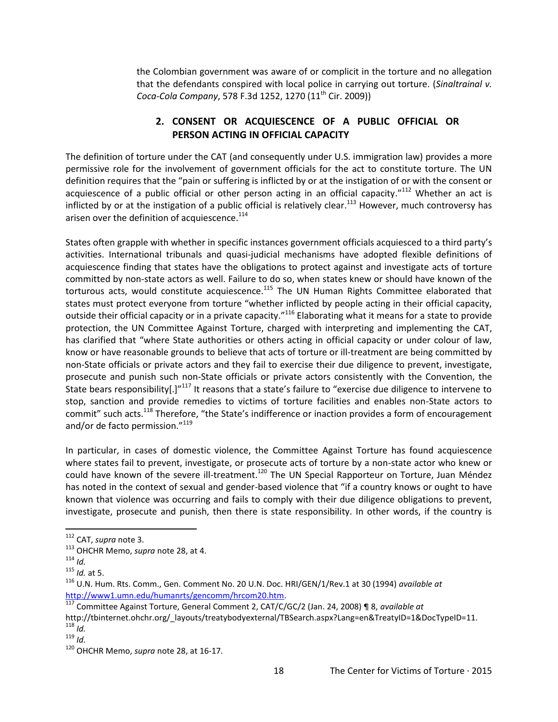the Colombian government was aware of or complicit in the torture and no allegation that the defendants conspired with local police in carrying out torture. (*Sinaltrainal v. Coca-Cola Company,* 578 F.3d 1252, 1270 (11<sup>th</sup> Cir. 2009))

## **2. CONSENT OR ACQUIESCENCE OF A PUBLIC OFFICIAL OR PERSON ACTING IN OFFICIAL CAPACITY**

The definition of torture under the CAT (and consequently under U.S. immigration law) provides a more permissive role for the involvement of government officials for the act to constitute torture. The UN definition requires that the "pain or suffering is inflicted by or at the instigation of or with the consent or acquiescence of a public official or other person acting in an official capacity. $"^{112}$  Whether an act is inflicted by or at the instigation of a public official is relatively clear.<sup>113</sup> However, much controversy has arisen over the definition of acquiescence. $114$ 

States often grapple with whether in specific instances government officials acquiesced to a third party's activities. International tribunals and quasi-judicial mechanisms have adopted flexible definitions of acquiescence finding that states have the obligations to protect against and investigate acts of torture committed by non-state actors as well. Failure to do so, when states knew or should have known of the torturous acts, would constitute acquiescence.<sup>115</sup> The UN Human Rights Committee elaborated that states must protect everyone from torture "whether inflicted by people acting in their official capacity, outside their official capacity or in a private capacity."<sup>116</sup> Elaborating what it means for a state to provide protection, the UN Committee Against Torture, charged with interpreting and implementing the CAT, has clarified that "where State authorities or others acting in official capacity or under colour of law, know or have reasonable grounds to believe that acts of torture or ill-treatment are being committed by non-State officials or private actors and they fail to exercise their due diligence to prevent, investigate, prosecute and punish such non-State officials or private actors consistently with the Convention, the State bears responsibility[.]"<sup>117</sup> It reasons that a state's failure to "exercise due diligence to intervene to stop, sanction and provide remedies to victims of torture facilities and enables non-State actors to commit" such acts.<sup>118</sup> Therefore, "the State's indifference or inaction provides a form of encouragement and/or de facto permission."<sup>119</sup>

In particular, in cases of domestic violence, the Committee Against Torture has found acquiescence where states fail to prevent, investigate, or prosecute acts of torture by a non-state actor who knew or could have known of the severe ill-treatment.<sup>120</sup> The UN Special Rapporteur on Torture, Juan Méndez has noted in the context of sexual and gender-based violence that "if a country knows or ought to have known that violence was occurring and fails to comply with their due diligence obligations to prevent, investigate, prosecute and punish, then there is state responsibility. In other words, if the country is

 $\overline{a}$ 

<sup>112</sup> CAT, *supra* note 3.

<sup>113</sup> OHCHR Memo, *supra* note 28, at 4.

 $114$  *Id.* 

<sup>115</sup> *Id.* at 5.

<sup>116</sup> U.N. Hum. Rts. Comm., Gen. Comment No. 20 U.N. Doc. HRI/GEN/1/Rev.1 at 30 (1994) *available at* [http://www1.umn.edu/humanrts/gencomm/hrcom20.htm.](http://www1.umn.edu/humanrts/gencomm/hrcom20.htm)

<sup>117</sup> Committee Against Torture, General Comment 2, CAT/C/GC/2 (Jan. 24, 2008) ¶ 8, *available at*

http://tbinternet.ohchr.org/\_layouts/treatybodyexternal/TBSearch.aspx?Lang=en&TreatyID=1&DocTypeID=11. <sup>118</sup> *Id.*

<sup>119</sup> *Id.*

<sup>120</sup> OHCHR Memo, *supra* note 28, at 16-17.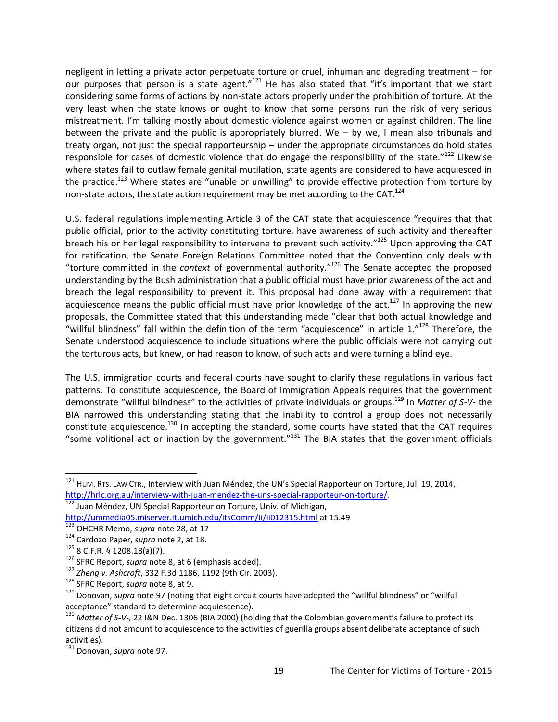negligent in letting a private actor perpetuate torture or cruel, inhuman and degrading treatment – for our purposes that person is a state agent."<sup>121</sup> He has also stated that "it's important that we start considering some forms of actions by non-state actors properly under the prohibition of torture. At the very least when the state knows or ought to know that some persons run the risk of very serious mistreatment. I'm talking mostly about domestic violence against women or against children. The line between the private and the public is appropriately blurred. We – by we, I mean also tribunals and treaty organ, not just the special rapporteurship – under the appropriate circumstances do hold states responsible for cases of domestic violence that do engage the responsibility of the state."<sup>122</sup> Likewise where states fail to outlaw female genital mutilation, state agents are considered to have acquiesced in the practice.<sup>123</sup> Where states are "unable or unwilling" to provide effective protection from torture by non-state actors, the state action requirement may be met according to the CAT.<sup>124</sup>

U.S. federal regulations implementing Article 3 of the CAT state that acquiescence "requires that that public official, prior to the activity constituting torture, have awareness of such activity and thereafter breach his or her legal responsibility to intervene to prevent such activity."<sup>125</sup> Upon approving the CAT for ratification, the Senate Foreign Relations Committee noted that the Convention only deals with "torture committed in the *context* of governmental authority." <sup>126</sup> The Senate accepted the proposed understanding by the Bush administration that a public official must have prior awareness of the act and breach the legal responsibility to prevent it. This proposal had done away with a requirement that acquiescence means the public official must have prior knowledge of the act.<sup>127</sup> In approving the new proposals, the Committee stated that this understanding made "clear that both actual knowledge and "willful blindness" fall within the definition of the term "acquiescence" in article  $1.^{n_{128}}$  Therefore, the Senate understood acquiescence to include situations where the public officials were not carrying out the torturous acts, but knew, or had reason to know, of such acts and were turning a blind eye.

The U.S. immigration courts and federal courts have sought to clarify these regulations in various fact patterns. To constitute acquiescence, the Board of Immigration Appeals requires that the government demonstrate "willful blindness" to the activities of private individuals or groups.<sup>129</sup> In *Matter of S-V-* the BIA narrowed this understanding stating that the inability to control a group does not necessarily constitute acquiescence.<sup>130</sup> In accepting the standard, some courts have stated that the CAT requires "some volitional act or inaction by the government."<sup>131</sup> The BIA states that the government officials

l

<sup>&</sup>lt;sup>121</sup> HUM. RTS. LAW CTR., Interview with Juan Méndez, the UN's Special Rapporteur on Torture, Jul. 19, 2014, [http://hrlc.org.au/interview-with-juan-mendez-the-uns-special-rapporteur-on-torture/.](http://hrlc.org.au/interview-with-juan-mendez-the-uns-special-rapporteur-on-torture/)

<sup>&</sup>lt;sup>122</sup> Juan Méndez, UN Special Rapporteur on Torture, Univ. of Michigan, <http://ummedia05.miserver.it.umich.edu/itsComm/ii/ii012315.html> at 15.49

<sup>123</sup> OHCHR Memo, *supra* note 28, at 17

<sup>124</sup> Cardozo Paper, *supra* note 2, at 18.

<sup>125</sup> 8 C.F.R. § 1208.18(a)(7).

<sup>126</sup> SFRC Report, *supra* note 8, at 6 (emphasis added).

<sup>127</sup> *Zheng v. Ashcroft*, 332 F.3d 1186, 1192 (9th Cir. 2003).

<sup>128</sup> SFRC Report, *supra* note 8, at 9.

<sup>129</sup> Donovan, *supra* note 97 (noting that eight circuit courts have adopted the "willful blindness" or "willful acceptance" standard to determine acquiescence).

<sup>130</sup> *Matter of S-V-*, 22 I&N Dec. 1306 (BIA 2000) (holding that the Colombian government's failure to protect its citizens did not amount to acquiescence to the activities of guerilla groups absent deliberate acceptance of such activities).

<sup>131</sup> Donovan, *supra* note 97.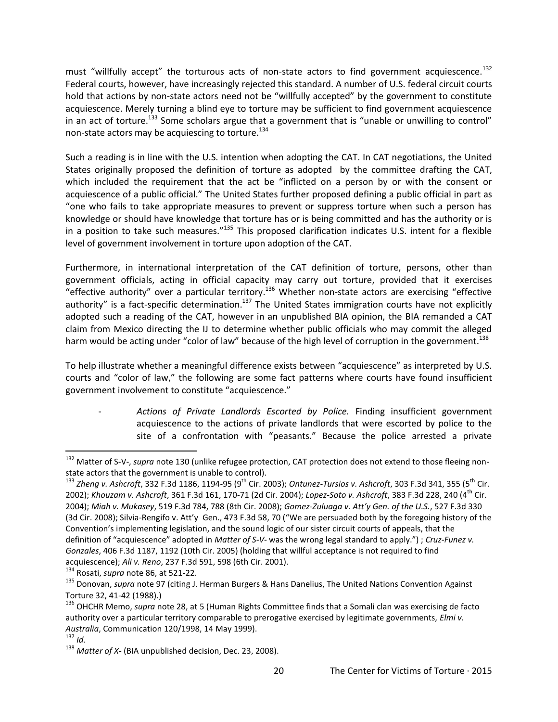must "willfully accept" the torturous acts of non-state actors to find government acquiescence.<sup>132</sup> Federal courts, however, have increasingly rejected this standard. A number of U.S. federal circuit courts hold that actions by non-state actors need not be "willfully accepted" by the government to constitute acquiescence. Merely turning a blind eye to torture may be sufficient to find government acquiescence in an act of torture.<sup>133</sup> Some scholars argue that a government that is "unable or unwilling to control" non-state actors may be acquiescing to torture.<sup>134</sup>

Such a reading is in line with the U.S. intention when adopting the CAT. In CAT negotiations, the United States originally proposed the definition of torture as adopted by the committee drafting the CAT, which included the requirement that the act be "inflicted on a person by or with the consent or acquiescence of a public official." The United States further proposed defining a public official in part as "one who fails to take appropriate measures to prevent or suppress torture when such a person has knowledge or should have knowledge that torture has or is being committed and has the authority or is in a position to take such measures."<sup>135</sup> This proposed clarification indicates U.S. intent for a flexible level of government involvement in torture upon adoption of the CAT.

Furthermore, in international interpretation of the CAT definition of torture, persons, other than government officials, acting in official capacity may carry out torture, provided that it exercises "effective authority" over a particular territory. <sup>136</sup> Whether non-state actors are exercising "effective authority" is a fact-specific determination.<sup>137</sup> The United States immigration courts have not explicitly adopted such a reading of the CAT, however in an unpublished BIA opinion, the BIA remanded a CAT claim from Mexico directing the IJ to determine whether public officials who may commit the alleged harm would be acting under "color of law" because of the high level of corruption in the government.<sup>138</sup>

To help illustrate whether a meaningful difference exists between "acquiescence" as interpreted by U.S. courts and "color of law," the following are some fact patterns where courts have found insufficient government involvement to constitute "acquiescence."

- *Actions of Private Landlords Escorted by Police.* Finding insufficient government acquiescence to the actions of private landlords that were escorted by police to the site of a confrontation with "peasants." Because the police arrested a private

l

<sup>&</sup>lt;sup>132</sup> Matter of S-V-, *supra* note 130 (unlike refugee protection, CAT protection does not extend to those fleeing nonstate actors that the government is unable to control).

<sup>133</sup> *Zheng v. Ashcroft,* 332 F.3d 1186, 1194-95 (9<sup>th</sup> Cir. 2003); *Ontunez-Tursios v. Ashcroft*, 303 F.3d 341, 355 (5<sup>th</sup> Cir. 2002); *Khouzam v. Ashcroft*, 361 F.3d 161, 170-71 (2d Cir. 2004); *Lopez-Soto v. Ashcroft*, 383 F.3d 228, 240 (4th Cir. 2004); *Miah v. Mukasey*, 519 F.3d 784, 788 (8th Cir. 2008); *Gomez-Zuluaga v. Att'y Gen. of the U.S.*, 527 F.3d 330 (3d Cir. 2008); Silvia-Rengifo v. Att'y Gen., 473 F.3d 58, 70 ("We are persuaded both by the foregoing history of the Convention's implementing legislation, and the sound logic of our sister circuit courts of appeals, that the definition of "acquiescence" adopted in *Matter of S-V-* was the wrong legal standard to apply.") ; *Cruz-Funez v. Gonzales*, 406 F.3d 1187, 1192 (10th Cir. 2005) (holding that willful acceptance is not required to find acquiescence); *Ali v. Reno*, 237 F.3d 591, 598 (6th Cir. 2001).

<sup>134</sup> Rosati, *supra* note 86, at 521-22.

<sup>135</sup> Donovan, *supra* note 97 (citing J. Herman Burgers & Hans Danelius, The United Nations Convention Against Torture 32, 41-42 (1988).)

<sup>136</sup> OHCHR Memo, *supra* note 28, at 5 (Human Rights Committee finds that a Somali clan was exercising de facto authority over a particular territory comparable to prerogative exercised by legitimate governments, *Elmi v. Australia*, Communication 120/1998, 14 May 1999).

<sup>137</sup> *Id.*

<sup>138</sup> *Matter of X-* (BIA unpublished decision, Dec. 23, 2008).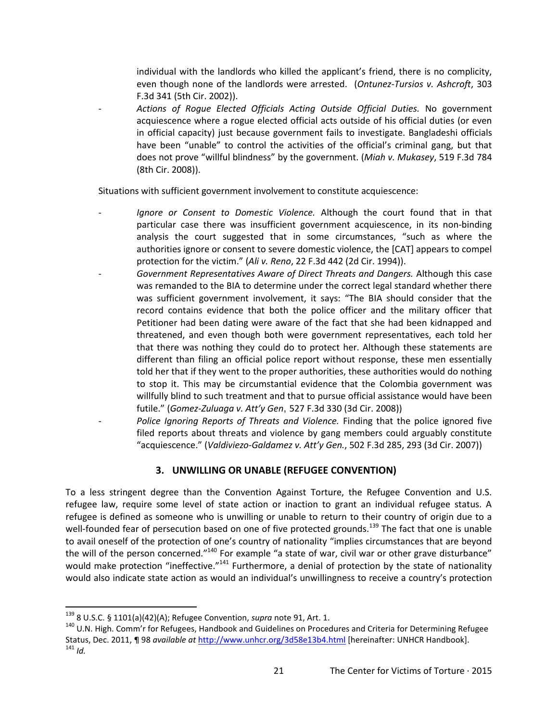individual with the landlords who killed the applicant's friend, there is no complicity, even though none of the landlords were arrested. (*Ontunez-Tursios v. Ashcroft*, 303 F.3d 341 (5th Cir. 2002)).

- *Actions of Rogue Elected Officials Acting Outside Official Duties.* No government acquiescence where a rogue elected official acts outside of his official duties (or even in official capacity) just because government fails to investigate. Bangladeshi officials have been "unable" to control the activities of the official's criminal gang, but that does not prove "willful blindness" by the government. (*Miah v. Mukasey*, 519 F.3d 784 (8th Cir. 2008)).

Situations with sufficient government involvement to constitute acquiescence:

- *Ignore or Consent to Domestic Violence*. Although the court found that in that particular case there was insufficient government acquiescence, in its non-binding analysis the court suggested that in some circumstances, "such as where the authorities ignore or consent to severe domestic violence, the [CAT] appears to compel protection for the victim." (*Ali v. Reno*, 22 F.3d 442 (2d Cir. 1994)).
- *Government Representatives Aware of Direct Threats and Dangers.* Although this case was remanded to the BIA to determine under the correct legal standard whether there was sufficient government involvement, it says: "The BIA should consider that the record contains evidence that both the police officer and the military officer that Petitioner had been dating were aware of the fact that she had been kidnapped and threatened, and even though both were government representatives, each told her that there was nothing they could do to protect her. Although these statements are different than filing an official police report without response, these men essentially told her that if they went to the proper authorities, these authorities would do nothing to stop it. This may be circumstantial evidence that the Colombia government was willfully blind to such treatment and that to pursue official assistance would have been futile." (*Gomez-Zuluaga v. Att'y Gen*, 527 F.3d 330 (3d Cir. 2008))
- Police Ignoring Reports of Threats and Violence. Finding that the police ignored five filed reports about threats and violence by gang members could arguably constitute "acquiescence." (*Valdiviezo-Galdamez v. Att'y Gen.*, 502 F.3d 285, 293 (3d Cir. 2007))

### **3. UNWILLING OR UNABLE (REFUGEE CONVENTION)**

To a less stringent degree than the Convention Against Torture, the Refugee Convention and U.S. refugee law, require some level of state action or inaction to grant an individual refugee status. A refugee is defined as someone who is unwilling or unable to return to their country of origin due to a well-founded fear of persecution based on one of five protected grounds.<sup>139</sup> The fact that one is unable to avail oneself of the protection of one's country of nationality "implies circumstances that are beyond the will of the person concerned."<sup>140</sup> For example "a state of war, civil war or other grave disturbance" would make protection "ineffective."<sup>141</sup> Furthermore, a denial of protection by the state of nationality would also indicate state action as would an individual's unwillingness to receive a country's protection

 $\overline{a}$ 

<sup>139</sup> 8 U.S.C. § 1101(a)(42)(A); Refugee Convention, *supra* note 91, Art. 1.

<sup>140</sup> U.N. High. Comm'r for Refugees, Handbook and Guidelines on Procedures and Criteria for Determining Refugee Status, Dec. 2011, ¶ 98 *available at* <http://www.unhcr.org/3d58e13b4.html> [hereinafter: UNHCR Handbook].  $141$  *Id.*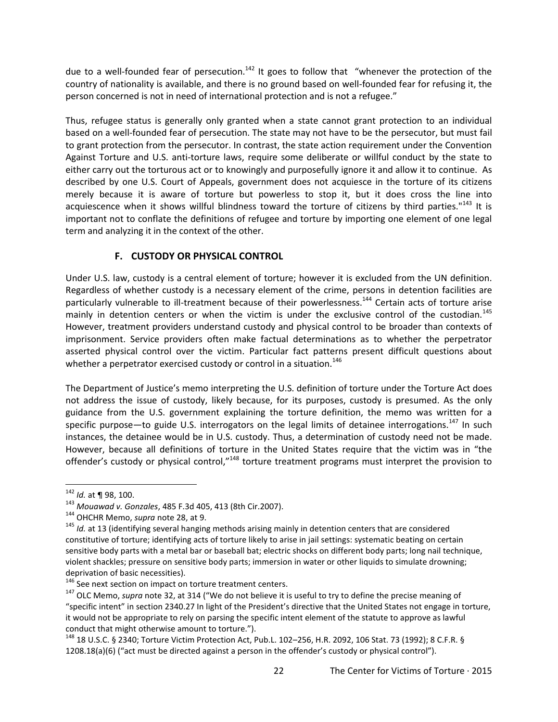due to a well-founded fear of persecution.<sup>142</sup> It goes to follow that "whenever the protection of the country of nationality is available, and there is no ground based on well-founded fear for refusing it, the person concerned is not in need of international protection and is not a refugee."

Thus, refugee status is generally only granted when a state cannot grant protection to an individual based on a well-founded fear of persecution. The state may not have to be the persecutor, but must fail to grant protection from the persecutor. In contrast, the state action requirement under the Convention Against Torture and U.S. anti-torture laws, require some deliberate or willful conduct by the state to either carry out the torturous act or to knowingly and purposefully ignore it and allow it to continue. As described by one U.S. Court of Appeals, government does not acquiesce in the torture of its citizens merely because it is aware of torture but powerless to stop it, but it does cross the line into acquiescence when it shows willful blindness toward the torture of citizens by third parties."<sup>143</sup> It is important not to conflate the definitions of refugee and torture by importing one element of one legal term and analyzing it in the context of the other.

## **F. CUSTODY OR PHYSICAL CONTROL**

Under U.S. law, custody is a central element of torture; however it is excluded from the UN definition. Regardless of whether custody is a necessary element of the crime, persons in detention facilities are particularly vulnerable to ill-treatment because of their powerlessness.<sup>144</sup> Certain acts of torture arise mainly in detention centers or when the victim is under the exclusive control of the custodian.<sup>145</sup> However, treatment providers understand custody and physical control to be broader than contexts of imprisonment. Service providers often make factual determinations as to whether the perpetrator asserted physical control over the victim. Particular fact patterns present difficult questions about whether a perpetrator exercised custody or control in a situation.<sup>146</sup>

The Department of Justice's memo interpreting the U.S. definition of torture under the Torture Act does not address the issue of custody, likely because, for its purposes, custody is presumed. As the only guidance from the U.S. government explaining the torture definition, the memo was written for a specific purpose—to guide U.S. interrogators on the legal limits of detainee interrogations.<sup>147</sup> In such instances, the detainee would be in U.S. custody. Thus, a determination of custody need not be made. However, because all definitions of torture in the United States require that the victim was in "the offender's custody or physical control,"<sup>148</sup> torture treatment programs must interpret the provision to

<sup>142</sup> *Id.* at ¶ 98, 100.

<sup>143</sup> *Mouawad v. Gonzales*, [485 F.3d 405, 413 \(8th Cir.2007\).](http://scholar.google.com/scholar_case?case=18397252526574037680&hl=en&as_sdt=20006&as_vis=1)

<sup>144</sup> OHCHR Memo, *supra* note 28, at 9.

<sup>145</sup> *Id.* at 13 (identifying several hanging methods arising mainly in detention centers that are considered constitutive of torture; identifying acts of torture likely to arise in jail settings: systematic beating on certain sensitive body parts with a metal bar or baseball bat; electric shocks on different body parts; long nail technique, violent shackles; pressure on sensitive body parts; immersion in water or other liquids to simulate drowning; deprivation of basic necessities).

 $146$  See next section on impact on torture treatment centers.

<sup>147</sup> OLC Memo, *supra* note 32, at 314 ("We do not believe it is useful to try to define the precise meaning of "specific intent" in section 2340.27 In light of the President's directive that the United States not engage in torture, it would not be appropriate to rely on parsing the specific intent element of the statute to approve as lawful conduct that might otherwise amount to torture.").

<sup>148</sup> 18 U.S.C. § 2340; Torture Victim Protection Act, Pub.L. 102–256, H.R. 2092, 106 Stat. 73 (1992); 8 C.F.R. § 1208.18(a)(6) ("act must be directed against a person in the offender's custody or physical control").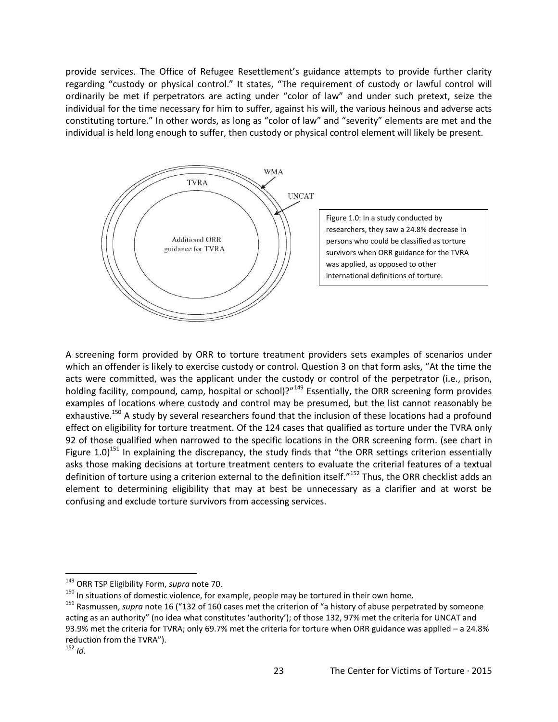provide services. The Office of Refugee Resettlement's guidance attempts to provide further clarity regarding "custody or physical control." It states, "The requirement of custody or lawful control will ordinarily be met if perpetrators are acting under "color of law" and under such pretext, seize the individual for the time necessary for him to suffer, against his will, the various heinous and adverse acts constituting torture." In other words, as long as "color of law" and "severity" elements are met and the individual is held long enough to suffer, then custody or physical control element will likely be present.



Figure 1.0: In a study conducted by researchers, they saw a 24.8% decrease in persons who could be classified as torture survivors when ORR guidance for the TVRA was applied, as opposed to other international definitions of torture.

A screening form provided by ORR to torture treatment providers sets examples of scenarios under which an offender is likely to exercise custody or control. Question 3 on that form asks, "At the time the acts were committed, was the applicant under the custody or control of the perpetrator (i.e., prison, holding facility, compound, camp, hospital or school)?"<sup>149</sup> Essentially, the ORR screening form provides examples of locations where custody and control may be presumed, but the list cannot reasonably be exhaustive.<sup>150</sup> A study by several researchers found that the inclusion of these locations had a profound effect on eligibility for torture treatment. Of the 124 cases that qualified as torture under the TVRA only 92 of those qualified when narrowed to the specific locations in the ORR screening form. (see chart in Figure 1.0)<sup>151</sup> In explaining the discrepancy, the study finds that "the ORR settings criterion essentially asks those making decisions at torture treatment centers to evaluate the criterial features of a textual definition of torture using a criterion external to the definition itself."<sup>152</sup> Thus, the ORR checklist adds an element to determining eligibility that may at best be unnecessary as a clarifier and at worst be confusing and exclude torture survivors from accessing services.

<sup>149</sup> ORR TSP Eligibility Form, *supra* note 70.

 $150$  In situations of domestic violence, for example, people may be tortured in their own home.

<sup>151</sup> Rasmussen, *supra* note 16 ("132 of 160 cases met the criterion of "a history of abuse perpetrated by someone acting as an authority" (no idea what constitutes 'authority'); of those 132, 97% met the criteria for UNCAT and 93.9% met the criteria for TVRA; only 69.7% met the criteria for torture when ORR guidance was applied – a 24.8% reduction from the TVRA").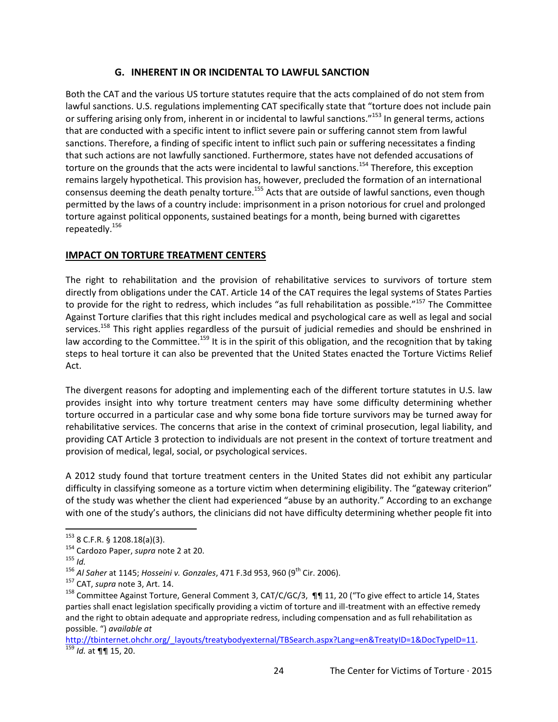## **G. INHERENT IN OR INCIDENTAL TO LAWFUL SANCTION**

Both the CAT and the various US torture statutes require that the acts complained of do not stem from lawful sanctions. U.S. regulations implementing CAT specifically state that "torture does not include pain or suffering arising only from, inherent in or incidental to lawful sanctions."<sup>153</sup> In general terms, actions that are conducted with a specific intent to inflict severe pain or suffering cannot stem from lawful sanctions. Therefore, a finding of specific intent to inflict such pain or suffering necessitates a finding that such actions are not lawfully sanctioned. Furthermore, states have not defended accusations of torture on the grounds that the acts were incidental to lawful sanctions.<sup>154</sup> Therefore, this exception remains largely hypothetical. This provision has, however, precluded the formation of an international consensus deeming the death penalty torture.<sup>155</sup> Acts that are outside of lawful sanctions, even though permitted by the laws of a country include: imprisonment in a prison notorious for cruel and prolonged torture against political opponents, sustained beatings for a month, being burned with cigarettes repeatedly.<sup>156</sup>

## **IMPACT ON TORTURE TREATMENT CENTERS**

The right to rehabilitation and the provision of rehabilitative services to survivors of torture stem directly from obligations under the CAT. Article 14 of the CAT requires the legal systems of States Parties to provide for the right to redress, which includes "as full rehabilitation as possible."<sup>157</sup> The Committee Against Torture clarifies that this right includes medical and psychological care as well as legal and social services.<sup>158</sup> This right applies regardless of the pursuit of judicial remedies and should be enshrined in law according to the Committee.<sup>159</sup> It is in the spirit of this obligation, and the recognition that by taking steps to heal torture it can also be prevented that the United States enacted the Torture Victims Relief Act.

The divergent reasons for adopting and implementing each of the different torture statutes in U.S. law provides insight into why torture treatment centers may have some difficulty determining whether torture occurred in a particular case and why some bona fide torture survivors may be turned away for rehabilitative services. The concerns that arise in the context of criminal prosecution, legal liability, and providing CAT Article 3 protection to individuals are not present in the context of torture treatment and provision of medical, legal, social, or psychological services.

A 2012 study found that torture treatment centers in the United States did not exhibit any particular difficulty in classifying someone as a torture victim when determining eligibility. The "gateway criterion" of the study was whether the client had experienced "abuse by an authority." According to an exchange with one of the study's authors, the clinicians did not have difficulty determining whether people fit into

 $\overline{a}$ 

[http://tbinternet.ohchr.org/\\_layouts/treatybodyexternal/TBSearch.aspx?Lang=en&TreatyID=1&DocTypeID=11.](http://tbinternet.ohchr.org/_layouts/treatybodyexternal/TBSearch.aspx?Lang=en&TreatyID=1&DocTypeID=11) <sup>159</sup> *Id.* at ¶¶ 15, 20.

 $^{153}$  8 C.F.R. § 1208.18(a)(3).

<sup>154</sup> Cardozo Paper, *supra* note 2 at 20.

<sup>155</sup> *Id.*

<sup>&</sup>lt;sup>156</sup> Al Saher at 1145; *Hosseini v. Gonzales*, 471 F.3d 953, 960 (9<sup>th</sup> Cir. 2006).

<sup>157</sup> CAT, *supra* note 3, Art. 14.

<sup>158</sup> Committee Against Torture, General Comment 3, CAT/C/GC/3, ¶¶ 11, 20 ("To give effect to article 14, States parties shall enact legislation specifically providing a victim of torture and ill-treatment with an effective remedy and the right to obtain adequate and appropriate redress, including compensation and as full rehabilitation as possible. ") *available at*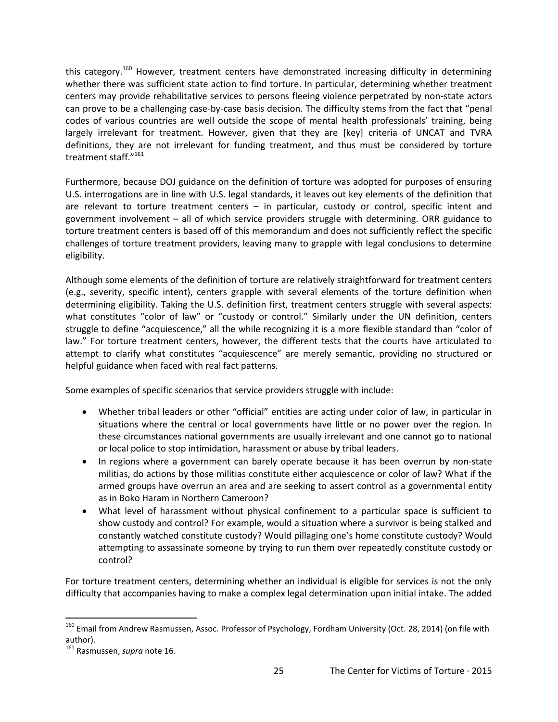this category.<sup>160</sup> However, treatment centers have demonstrated increasing difficulty in determining whether there was sufficient state action to find torture. In particular, determining whether treatment centers may provide rehabilitative services to persons fleeing violence perpetrated by non-state actors can prove to be a challenging case-by-case basis decision. The difficulty stems from the fact that "penal codes of various countries are well outside the scope of mental health professionals' training, being largely irrelevant for treatment. However, given that they are [key] criteria of UNCAT and TVRA definitions, they are not irrelevant for funding treatment, and thus must be considered by torture treatment staff."<sup>161</sup>

Furthermore, because DOJ guidance on the definition of torture was adopted for purposes of ensuring U.S. interrogations are in line with U.S. legal standards, it leaves out key elements of the definition that are relevant to torture treatment centers  $-$  in particular, custody or control, specific intent and government involvement – all of which service providers struggle with determining. ORR guidance to torture treatment centers is based off of this memorandum and does not sufficiently reflect the specific challenges of torture treatment providers, leaving many to grapple with legal conclusions to determine eligibility.

Although some elements of the definition of torture are relatively straightforward for treatment centers (e.g., severity, specific intent), centers grapple with several elements of the torture definition when determining eligibility. Taking the U.S. definition first, treatment centers struggle with several aspects: what constitutes "color of law" or "custody or control." Similarly under the UN definition, centers struggle to define "acquiescence," all the while recognizing it is a more flexible standard than "color of law." For torture treatment centers, however, the different tests that the courts have articulated to attempt to clarify what constitutes "acquiescence" are merely semantic, providing no structured or helpful guidance when faced with real fact patterns.

Some examples of specific scenarios that service providers struggle with include:

- Whether tribal leaders or other "official" entities are acting under color of law, in particular in situations where the central or local governments have little or no power over the region. In these circumstances national governments are usually irrelevant and one cannot go to national or local police to stop intimidation, harassment or abuse by tribal leaders.
- In regions where a government can barely operate because it has been overrun by non-state militias, do actions by those militias constitute either acquiescence or color of law? What if the armed groups have overrun an area and are seeking to assert control as a governmental entity as in Boko Haram in Northern Cameroon?
- What level of harassment without physical confinement to a particular space is sufficient to show custody and control? For example, would a situation where a survivor is being stalked and constantly watched constitute custody? Would pillaging one's home constitute custody? Would attempting to assassinate someone by trying to run them over repeatedly constitute custody or control?

For torture treatment centers, determining whether an individual is eligible for services is not the only difficulty that accompanies having to make a complex legal determination upon initial intake. The added

<sup>&</sup>lt;sup>160</sup> Email from Andrew Rasmussen, Assoc. Professor of Psychology, Fordham University (Oct. 28, 2014) (on file with author).

<sup>161</sup> Rasmussen, *supra* note 16.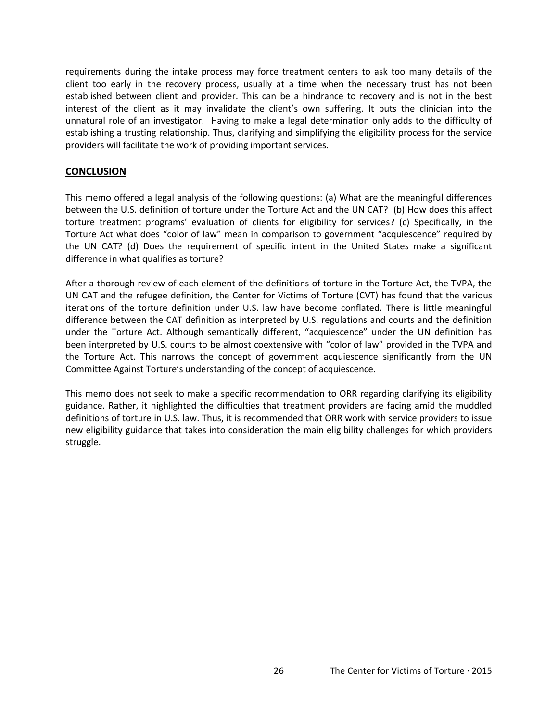requirements during the intake process may force treatment centers to ask too many details of the client too early in the recovery process, usually at a time when the necessary trust has not been established between client and provider. This can be a hindrance to recovery and is not in the best interest of the client as it may invalidate the client's own suffering. It puts the clinician into the unnatural role of an investigator. Having to make a legal determination only adds to the difficulty of establishing a trusting relationship. Thus, clarifying and simplifying the eligibility process for the service providers will facilitate the work of providing important services.

#### **CONCLUSION**

This memo offered a legal analysis of the following questions: (a) What are the meaningful differences between the U.S. definition of torture under the Torture Act and the UN CAT? (b) How does this affect torture treatment programs' evaluation of clients for eligibility for services? (c) Specifically, in the Torture Act what does "color of law" mean in comparison to government "acquiescence" required by the UN CAT? (d) Does the requirement of specific intent in the United States make a significant difference in what qualifies as torture?

After a thorough review of each element of the definitions of torture in the Torture Act, the TVPA, the UN CAT and the refugee definition, the Center for Victims of Torture (CVT) has found that the various iterations of the torture definition under U.S. law have become conflated. There is little meaningful difference between the CAT definition as interpreted by U.S. regulations and courts and the definition under the Torture Act. Although semantically different, "acquiescence" under the UN definition has been interpreted by U.S. courts to be almost coextensive with "color of law" provided in the TVPA and the Torture Act. This narrows the concept of government acquiescence significantly from the UN Committee Against Torture's understanding of the concept of acquiescence.

This memo does not seek to make a specific recommendation to ORR regarding clarifying its eligibility guidance. Rather, it highlighted the difficulties that treatment providers are facing amid the muddled definitions of torture in U.S. law. Thus, it is recommended that ORR work with service providers to issue new eligibility guidance that takes into consideration the main eligibility challenges for which providers struggle.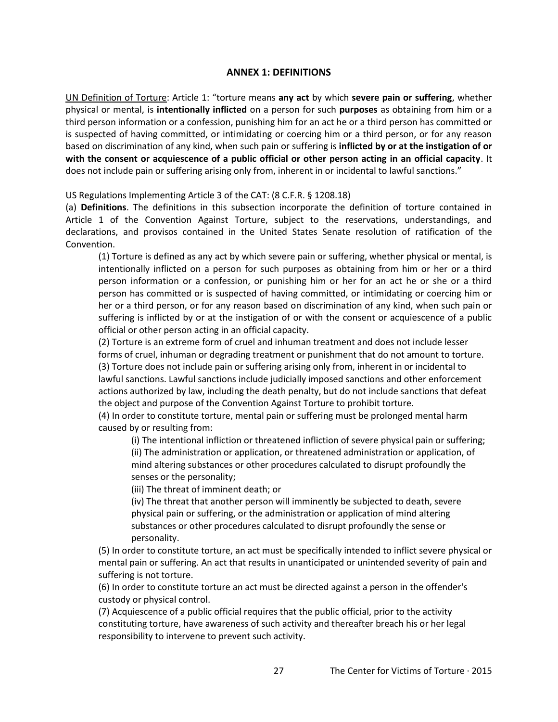#### **ANNEX 1: DEFINITIONS**

UN Definition of Torture: Article 1: "torture means **any act** by which **severe pain or suffering**, whether physical or mental, is **intentionally inflicted** on a person for such **purposes** as obtaining from him or a third person information or a confession, punishing him for an act he or a third person has committed or is suspected of having committed, or intimidating or coercing him or a third person, or for any reason based on discrimination of any kind, when such pain or suffering is **inflicted by or at the instigation of or with the consent or acquiescence of a public official or other person acting in an official capacity**. It does not include pain or suffering arising only from, inherent in or incidental to lawful sanctions."

#### US Regulations Implementing Article 3 of the CAT: (8 C.F.R. § 1208.18)

(a) **Definitions**. The definitions in this subsection incorporate the definition of torture contained in Article 1 of the Convention Against Torture, subject to the reservations, understandings, and declarations, and provisos contained in the United States Senate resolution of ratification of the Convention.

(1) Torture is defined as any act by which severe pain or suffering, whether physical or mental, is intentionally inflicted on a person for such purposes as obtaining from him or her or a third person information or a confession, or punishing him or her for an act he or she or a third person has committed or is suspected of having committed, or intimidating or coercing him or her or a third person, or for any reason based on discrimination of any kind, when such pain or suffering is inflicted by or at the instigation of or with the consent or acquiescence of a public official or other person acting in an official capacity.

(2) Torture is an extreme form of cruel and inhuman treatment and does not include lesser forms of cruel, inhuman or degrading treatment or punishment that do not amount to torture. (3) Torture does not include pain or suffering arising only from, inherent in or incidental to lawful sanctions. Lawful sanctions include judicially imposed sanctions and other enforcement actions authorized by law, including the death penalty, but do not include sanctions that defeat the object and purpose of the Convention Against Torture to prohibit torture.

(4) In order to constitute torture, mental pain or suffering must be prolonged mental harm caused by or resulting from:

(i) The intentional infliction or threatened infliction of severe physical pain or suffering; (ii) The administration or application, or threatened administration or application, of mind altering substances or other procedures calculated to disrupt profoundly the senses or the personality;

(iii) The threat of imminent death; or

(iv) The threat that another person will imminently be subjected to death, severe physical pain or suffering, or the administration or application of mind altering substances or other procedures calculated to disrupt profoundly the sense or personality.

(5) In order to constitute torture, an act must be specifically intended to inflict severe physical or mental pain or suffering. An act that results in unanticipated or unintended severity of pain and suffering is not torture.

(6) In order to constitute torture an act must be directed against a person in the offender's custody or physical control.

(7) Acquiescence of a public official requires that the public official, prior to the activity constituting torture, have awareness of such activity and thereafter breach his or her legal responsibility to intervene to prevent such activity.